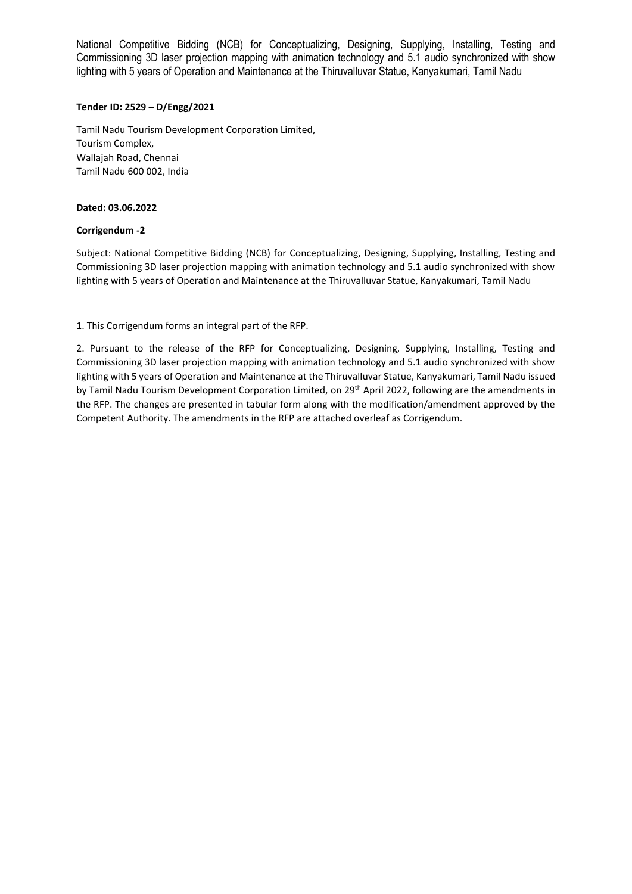## **Tender ID: 2529 – D/Engg/2021**

Tamil Nadu Tourism Development Corporation Limited, Tourism Complex, Wallajah Road, Chennai Tamil Nadu 600 002, India

### **Dated: 03.06.2022**

## **Corrigendum -2**

Subject: National Competitive Bidding (NCB) for Conceptualizing, Designing, Supplying, Installing, Testing and Commissioning 3D laser projection mapping with animation technology and 5.1 audio synchronized with show lighting with 5 years of Operation and Maintenance at the Thiruvalluvar Statue, Kanyakumari, Tamil Nadu

1. This Corrigendum forms an integral part of the RFP.

2. Pursuant to the release of the RFP for Conceptualizing, Designing, Supplying, Installing, Testing and Commissioning 3D laser projection mapping with animation technology and 5.1 audio synchronized with show lighting with 5 years of Operation and Maintenance at the Thiruvalluvar Statue, Kanyakumari, Tamil Nadu issued by Tamil Nadu Tourism Development Corporation Limited, on 29<sup>th</sup> April 2022, following are the amendments in the RFP. The changes are presented in tabular form along with the modification/amendment approved by the Competent Authority. The amendments in the RFP are attached overleaf as Corrigendum.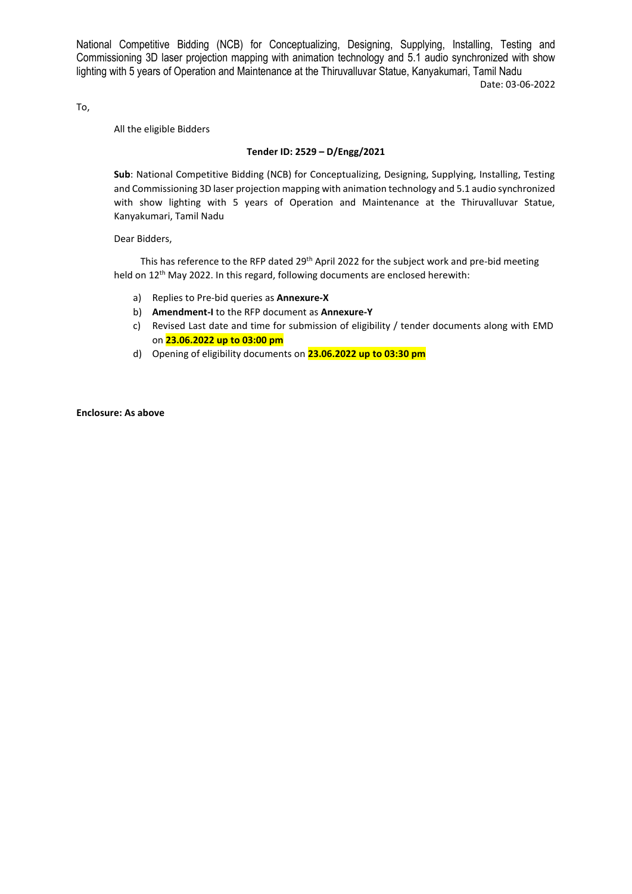Date: 03-06-2022

To,

All the eligible Bidders

### **Tender ID: 2529 – D/Engg/2021**

**Sub**: National Competitive Bidding (NCB) for Conceptualizing, Designing, Supplying, Installing, Testing and Commissioning 3D laser projection mapping with animation technology and 5.1 audio synchronized with show lighting with 5 years of Operation and Maintenance at the Thiruvalluvar Statue, Kanyakumari, Tamil Nadu

Dear Bidders,

This has reference to the RFP dated 29<sup>th</sup> April 2022 for the subject work and pre-bid meeting held on 12<sup>th</sup> May 2022. In this regard, following documents are enclosed herewith:

- a) Replies to Pre-bid queries as **Annexure-X**
- b) **Amendment-I** to the RFP document as **Annexure-Y**
- c) Revised Last date and time for submission of eligibility / tender documents along with EMD on **23.06.2022 up to 03:00 pm**
- d) Opening of eligibility documents on **23.06.2022 up to 03:30 pm**

**Enclosure: As above**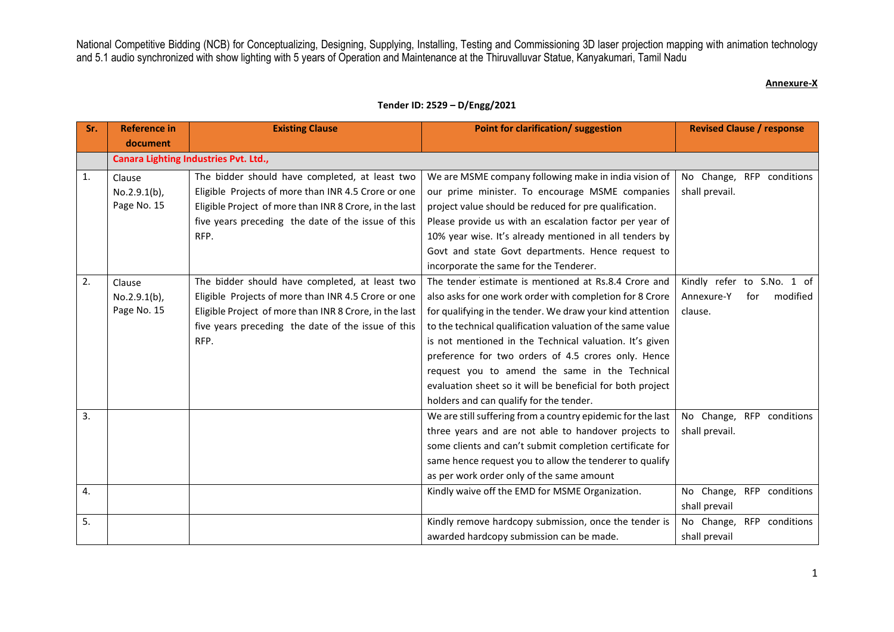#### **Annexure-X**

| Sr. | <b>Reference in</b> | <b>Existing Clause</b>                                 | Point for clarification/ suggestion                         | <b>Revised Clause / response</b> |
|-----|---------------------|--------------------------------------------------------|-------------------------------------------------------------|----------------------------------|
|     | document            |                                                        |                                                             |                                  |
|     |                     | Canara Lighting Industries Pvt. Ltd.,                  |                                                             |                                  |
| 1.  | Clause              | The bidder should have completed, at least two         | We are MSME company following make in india vision of       | No Change, RFP conditions        |
|     | $No.2.9.1(b)$ ,     | Eligible Projects of more than INR 4.5 Crore or one    | our prime minister. To encourage MSME companies             | shall prevail.                   |
|     | Page No. 15         | Eligible Project of more than INR 8 Crore, in the last | project value should be reduced for pre qualification.      |                                  |
|     |                     | five years preceding the date of the issue of this     | Please provide us with an escalation factor per year of     |                                  |
|     |                     | RFP.                                                   | 10% year wise. It's already mentioned in all tenders by     |                                  |
|     |                     |                                                        | Govt and state Govt departments. Hence request to           |                                  |
|     |                     |                                                        | incorporate the same for the Tenderer.                      |                                  |
| 2.  | Clause              | The bidder should have completed, at least two         | The tender estimate is mentioned at Rs.8.4 Crore and        | Kindly refer to S.No. 1 of       |
|     | $No.2.9.1(b)$ ,     | Eligible Projects of more than INR 4.5 Crore or one    | also asks for one work order with completion for 8 Crore    | modified<br>Annexure-Y<br>for    |
|     | Page No. 15         | Eligible Project of more than INR 8 Crore, in the last | for qualifying in the tender. We draw your kind attention   | clause.                          |
|     |                     | five years preceding the date of the issue of this     | to the technical qualification valuation of the same value  |                                  |
|     |                     | RFP.                                                   | is not mentioned in the Technical valuation. It's given     |                                  |
|     |                     |                                                        | preference for two orders of 4.5 crores only. Hence         |                                  |
|     |                     |                                                        | request you to amend the same in the Technical              |                                  |
|     |                     |                                                        | evaluation sheet so it will be beneficial for both project  |                                  |
|     |                     |                                                        | holders and can qualify for the tender.                     |                                  |
| 3.  |                     |                                                        | We are still suffering from a country epidemic for the last | No Change, RFP conditions        |
|     |                     |                                                        | three years and are not able to handover projects to        | shall prevail.                   |
|     |                     |                                                        | some clients and can't submit completion certificate for    |                                  |
|     |                     |                                                        | same hence request you to allow the tenderer to qualify     |                                  |
|     |                     |                                                        | as per work order only of the same amount                   |                                  |
| 4.  |                     |                                                        | Kindly waive off the EMD for MSME Organization.             | No Change,<br>RFP conditions     |
|     |                     |                                                        |                                                             | shall prevail                    |
| 5.  |                     |                                                        | Kindly remove hardcopy submission, once the tender is       | No Change, RFP conditions        |
|     |                     |                                                        | awarded hardcopy submission can be made.                    | shall prevail                    |

# **Tender ID: 2529 – D/Engg/2021**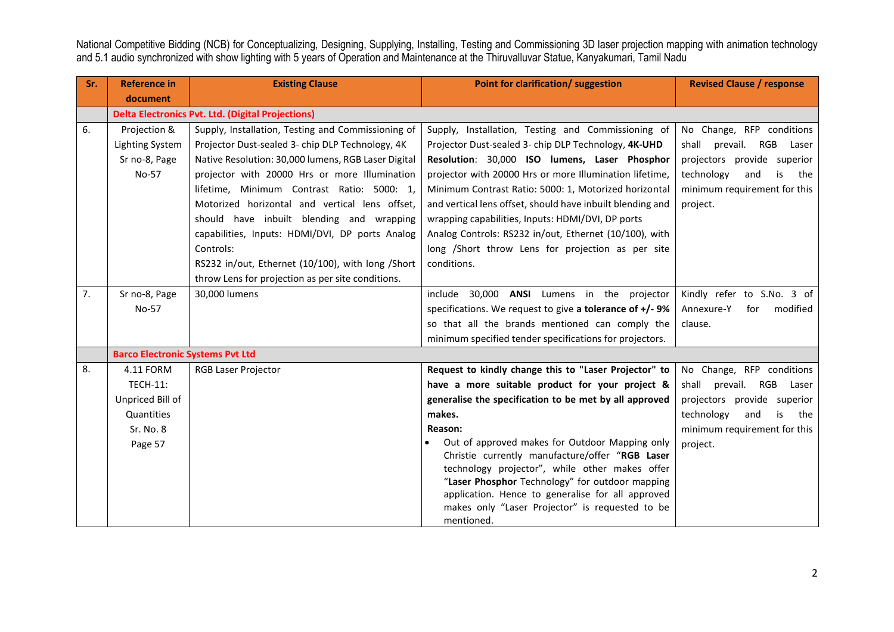| Sr. | <b>Reference in</b>                     | <b>Existing Clause</b>                                   | Point for clarification/ suggestion                                                               | <b>Revised Clause / response</b> |
|-----|-----------------------------------------|----------------------------------------------------------|---------------------------------------------------------------------------------------------------|----------------------------------|
|     | document                                |                                                          |                                                                                                   |                                  |
|     |                                         | <b>Delta Electronics Pvt. Ltd. (Digital Projections)</b> |                                                                                                   |                                  |
| 6.  | Projection &                            | Supply, Installation, Testing and Commissioning of       | Supply, Installation, Testing and Commissioning of                                                | No Change, RFP conditions        |
|     | <b>Lighting System</b>                  | Projector Dust-sealed 3- chip DLP Technology, 4K         | Projector Dust-sealed 3- chip DLP Technology, 4K-UHD                                              | shall prevail.<br>RGB<br>Laser   |
|     | Sr no-8, Page                           | Native Resolution: 30,000 lumens, RGB Laser Digital      | Resolution: 30,000 ISO lumens, Laser Phosphor                                                     | projectors provide superior      |
|     | No-57                                   | projector with 20000 Hrs or more Illumination            | projector with 20000 Hrs or more Illumination lifetime,                                           | technology<br>and<br>is<br>the   |
|     |                                         | lifetime, Minimum Contrast Ratio: 5000: 1,               | Minimum Contrast Ratio: 5000: 1, Motorized horizontal                                             | minimum requirement for this     |
|     |                                         | Motorized horizontal and vertical lens offset,           | and vertical lens offset, should have inbuilt blending and                                        | project.                         |
|     |                                         | should have inbuilt blending and wrapping                | wrapping capabilities, Inputs: HDMI/DVI, DP ports                                                 |                                  |
|     |                                         | capabilities, Inputs: HDMI/DVI, DP ports Analog          | Analog Controls: RS232 in/out, Ethernet (10/100), with                                            |                                  |
|     |                                         | Controls:                                                | long /Short throw Lens for projection as per site                                                 |                                  |
|     |                                         | RS232 in/out, Ethernet (10/100), with long /Short        | conditions.                                                                                       |                                  |
|     |                                         | throw Lens for projection as per site conditions.        |                                                                                                   |                                  |
| 7.  | Sr no-8, Page                           | 30,000 lumens                                            | 30,000 ANSI Lumens in the projector<br>include                                                    | Kindly refer to S.No. 3 of       |
|     | No-57                                   |                                                          | specifications. We request to give a tolerance of $+/-9\%$                                        | modified<br>Annexure-Y<br>for    |
|     |                                         |                                                          | so that all the brands mentioned can comply the                                                   | clause.                          |
|     |                                         |                                                          | minimum specified tender specifications for projectors.                                           |                                  |
|     | <b>Barco Electronic Systems Pvt Ltd</b> |                                                          |                                                                                                   |                                  |
| 8.  | 4.11 FORM                               | <b>RGB Laser Projector</b>                               | Request to kindly change this to "Laser Projector" to                                             | No Change, RFP conditions        |
|     | <b>TECH-11:</b>                         |                                                          | have a more suitable product for your project &                                                   | shall prevail.<br>RGB<br>Laser   |
|     | Unpriced Bill of                        |                                                          | generalise the specification to be met by all approved                                            | projectors provide superior      |
|     | Quantities                              |                                                          | makes.                                                                                            | technology<br>and<br>the<br>is   |
|     | Sr. No. 8                               |                                                          | Reason:                                                                                           | minimum requirement for this     |
|     | Page 57                                 |                                                          | Out of approved makes for Outdoor Mapping only                                                    | project.                         |
|     |                                         |                                                          | Christie currently manufacture/offer "RGB Laser                                                   |                                  |
|     |                                         |                                                          | technology projector", while other makes offer<br>"Laser Phosphor Technology" for outdoor mapping |                                  |
|     |                                         |                                                          | application. Hence to generalise for all approved                                                 |                                  |
|     |                                         |                                                          | makes only "Laser Projector" is requested to be                                                   |                                  |
|     |                                         |                                                          | mentioned.                                                                                        |                                  |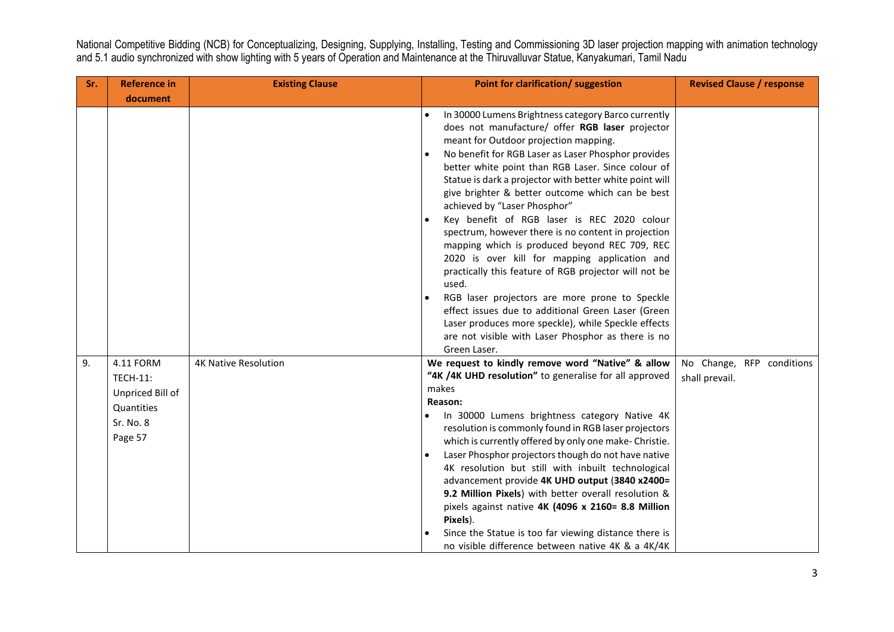| Sr. | <b>Reference in</b>                                                                    | <b>Existing Clause</b>      | Point for clarification/ suggestion                                                                                                                                                                                                                                                                                                                                                                                                                                                                                                                                                                                                                                                                                                                                                                                                                                                                                        | <b>Revised Clause / response</b>            |
|-----|----------------------------------------------------------------------------------------|-----------------------------|----------------------------------------------------------------------------------------------------------------------------------------------------------------------------------------------------------------------------------------------------------------------------------------------------------------------------------------------------------------------------------------------------------------------------------------------------------------------------------------------------------------------------------------------------------------------------------------------------------------------------------------------------------------------------------------------------------------------------------------------------------------------------------------------------------------------------------------------------------------------------------------------------------------------------|---------------------------------------------|
|     | document                                                                               |                             |                                                                                                                                                                                                                                                                                                                                                                                                                                                                                                                                                                                                                                                                                                                                                                                                                                                                                                                            |                                             |
|     |                                                                                        |                             | In 30000 Lumens Brightness category Barco currently<br>does not manufacture/ offer RGB laser projector<br>meant for Outdoor projection mapping.<br>No benefit for RGB Laser as Laser Phosphor provides<br>better white point than RGB Laser. Since colour of<br>Statue is dark a projector with better white point will<br>give brighter & better outcome which can be best<br>achieved by "Laser Phosphor"<br>Key benefit of RGB laser is REC 2020 colour<br>spectrum, however there is no content in projection<br>mapping which is produced beyond REC 709, REC<br>2020 is over kill for mapping application and<br>practically this feature of RGB projector will not be<br>used.<br>RGB laser projectors are more prone to Speckle<br>effect issues due to additional Green Laser (Green<br>Laser produces more speckle), while Speckle effects<br>are not visible with Laser Phosphor as there is no<br>Green Laser. |                                             |
| 9.  | 4.11 FORM<br><b>TECH-11:</b><br>Unpriced Bill of<br>Quantities<br>Sr. No. 8<br>Page 57 | <b>4K Native Resolution</b> | We request to kindly remove word "Native" & allow<br>"4K /4K UHD resolution" to generalise for all approved<br>makes<br>Reason:<br>In 30000 Lumens brightness category Native 4K<br>resolution is commonly found in RGB laser projectors<br>which is currently offered by only one make- Christie.<br>Laser Phosphor projectors though do not have native<br>4K resolution but still with inbuilt technological<br>advancement provide 4K UHD output (3840 x2400=<br>9.2 Million Pixels) with better overall resolution &<br>pixels against native 4K (4096 x 2160= 8.8 Million<br>Pixels).<br>Since the Statue is too far viewing distance there is<br>no visible difference between native 4K & a 4K/4K                                                                                                                                                                                                                  | No Change, RFP conditions<br>shall prevail. |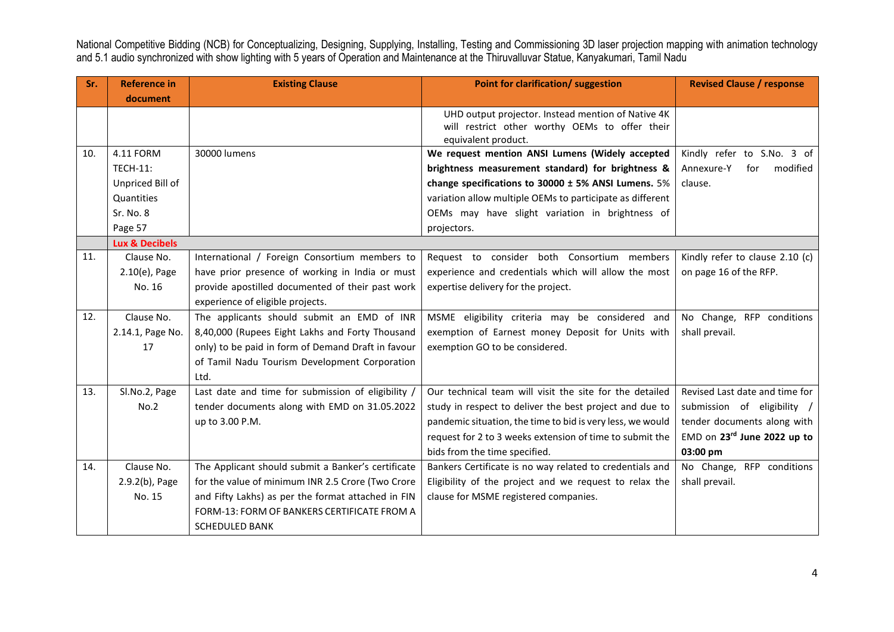| Sr. | <b>Reference in</b>       | <b>Existing Clause</b>                             | Point for clarification/ suggestion                                                                                         | <b>Revised Clause / response</b> |
|-----|---------------------------|----------------------------------------------------|-----------------------------------------------------------------------------------------------------------------------------|----------------------------------|
|     | document                  |                                                    |                                                                                                                             |                                  |
|     |                           |                                                    | UHD output projector. Instead mention of Native 4K<br>will restrict other worthy OEMs to offer their<br>equivalent product. |                                  |
| 10. | 4.11 FORM                 | 30000 lumens                                       | We request mention ANSI Lumens (Widely accepted                                                                             | Kindly refer to S.No. 3 of       |
|     | <b>TECH-11:</b>           |                                                    | brightness measurement standard) for brightness &                                                                           | Annexure-Y<br>modified<br>for    |
|     | Unpriced Bill of          |                                                    | change specifications to 30000 ± 5% ANSI Lumens. 5%                                                                         | clause.                          |
|     | Quantities                |                                                    | variation allow multiple OEMs to participate as different                                                                   |                                  |
|     | Sr. No. 8                 |                                                    | OEMs may have slight variation in brightness of                                                                             |                                  |
|     | Page 57                   |                                                    | projectors.                                                                                                                 |                                  |
|     | <b>Lux &amp; Decibels</b> |                                                    |                                                                                                                             |                                  |
| 11. | Clause No.                | International / Foreign Consortium members to      | Request to consider both Consortium members                                                                                 | Kindly refer to clause 2.10 (c)  |
|     | $2.10(e)$ , Page          | have prior presence of working in India or must    | experience and credentials which will allow the most                                                                        | on page 16 of the RFP.           |
|     | No. 16                    | provide apostilled documented of their past work   | expertise delivery for the project.                                                                                         |                                  |
|     |                           | experience of eligible projects.                   |                                                                                                                             |                                  |
| 12. | Clause No.                | The applicants should submit an EMD of INR         | MSME eligibility criteria may be considered and                                                                             | No Change, RFP conditions        |
|     | 2.14.1, Page No.          | 8,40,000 (Rupees Eight Lakhs and Forty Thousand    | exemption of Earnest money Deposit for Units with                                                                           | shall prevail.                   |
|     | 17                        | only) to be paid in form of Demand Draft in favour | exemption GO to be considered.                                                                                              |                                  |
|     |                           | of Tamil Nadu Tourism Development Corporation      |                                                                                                                             |                                  |
|     |                           | Ltd.                                               |                                                                                                                             |                                  |
| 13. | Sl.No.2, Page             | Last date and time for submission of eligibility / | Our technical team will visit the site for the detailed                                                                     | Revised Last date and time for   |
|     | No.2                      | tender documents along with EMD on 31.05.2022      | study in respect to deliver the best project and due to                                                                     | submission of eligibility /      |
|     |                           | up to 3.00 P.M.                                    | pandemic situation, the time to bid is very less, we would                                                                  | tender documents along with      |
|     |                           |                                                    | request for 2 to 3 weeks extension of time to submit the                                                                    | EMD on 23rd June 2022 up to      |
|     |                           |                                                    | bids from the time specified.                                                                                               | 03:00 pm                         |
| 14. | Clause No.                | The Applicant should submit a Banker's certificate | Bankers Certificate is no way related to credentials and                                                                    | No Change, RFP conditions        |
|     | $2.9.2(b)$ , Page         | for the value of minimum INR 2.5 Crore (Two Crore  | Eligibility of the project and we request to relax the                                                                      | shall prevail.                   |
|     | No. 15                    | and Fifty Lakhs) as per the format attached in FIN | clause for MSME registered companies.                                                                                       |                                  |
|     |                           | FORM-13: FORM OF BANKERS CERTIFICATE FROM A        |                                                                                                                             |                                  |
|     |                           | <b>SCHEDULED BANK</b>                              |                                                                                                                             |                                  |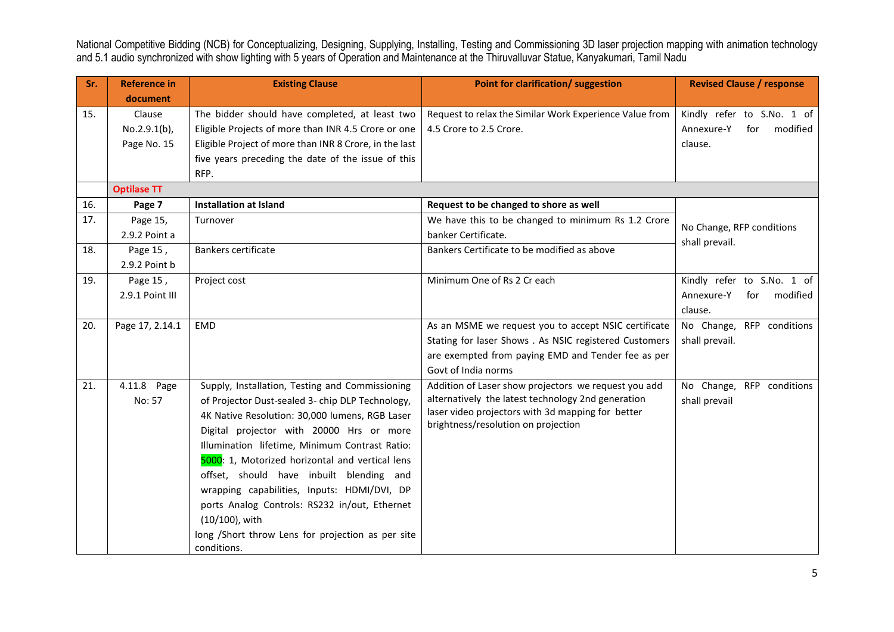| Sr. | <b>Reference in</b> | <b>Existing Clause</b>                                 | Point for clarification/ suggestion                                                      | <b>Revised Clause / response</b>            |
|-----|---------------------|--------------------------------------------------------|------------------------------------------------------------------------------------------|---------------------------------------------|
|     | document            |                                                        |                                                                                          |                                             |
| 15. | Clause              | The bidder should have completed, at least two         | Request to relax the Similar Work Experience Value from                                  | Kindly refer to S.No. 1 of                  |
|     | $No.2.9.1(b)$ ,     | Eligible Projects of more than INR 4.5 Crore or one    | 4.5 Crore to 2.5 Crore.                                                                  | modified<br>Annexure-Y<br>for               |
|     | Page No. 15         | Eligible Project of more than INR 8 Crore, in the last |                                                                                          | clause.                                     |
|     |                     | five years preceding the date of the issue of this     |                                                                                          |                                             |
|     |                     | RFP.                                                   |                                                                                          |                                             |
|     | <b>Optilase TT</b>  |                                                        |                                                                                          |                                             |
| 16. | Page 7              | <b>Installation at Island</b>                          | Request to be changed to shore as well                                                   |                                             |
| 17. | Page 15,            | Turnover                                               | We have this to be changed to minimum Rs 1.2 Crore                                       |                                             |
|     | 2.9.2 Point a       |                                                        | banker Certificate.                                                                      | No Change, RFP conditions<br>shall prevail. |
| 18. | Page 15,            | Bankers certificate                                    | Bankers Certificate to be modified as above                                              |                                             |
|     | 2.9.2 Point b       |                                                        |                                                                                          |                                             |
| 19. | Page 15,            | Project cost                                           | Minimum One of Rs 2 Cr each                                                              | Kindly refer to S.No. 1 of                  |
|     | 2.9.1 Point III     |                                                        |                                                                                          | Annexure-Y<br>modified<br>for               |
|     |                     |                                                        |                                                                                          | clause.                                     |
| 20. | Page 17, 2.14.1     | <b>EMD</b>                                             | As an MSME we request you to accept NSIC certificate                                     | No Change, RFP conditions                   |
|     |                     |                                                        | Stating for laser Shows . As NSIC registered Customers                                   | shall prevail.                              |
|     |                     |                                                        | are exempted from paying EMD and Tender fee as per                                       |                                             |
|     |                     |                                                        | Govt of India norms                                                                      |                                             |
| 21. | 4.11.8 Page         | Supply, Installation, Testing and Commissioning        | Addition of Laser show projectors we request you add                                     | No Change, RFP conditions                   |
|     | No: 57              | of Projector Dust-sealed 3- chip DLP Technology,       | alternatively the latest technology 2nd generation                                       | shall prevail                               |
|     |                     | 4K Native Resolution: 30,000 lumens, RGB Laser         | laser video projectors with 3d mapping for better<br>brightness/resolution on projection |                                             |
|     |                     | Digital projector with 20000 Hrs or more               |                                                                                          |                                             |
|     |                     | Illumination lifetime, Minimum Contrast Ratio:         |                                                                                          |                                             |
|     |                     | 5000: 1, Motorized horizontal and vertical lens        |                                                                                          |                                             |
|     |                     | offset, should have inbuilt blending and               |                                                                                          |                                             |
|     |                     | wrapping capabilities, Inputs: HDMI/DVI, DP            |                                                                                          |                                             |
|     |                     | ports Analog Controls: RS232 in/out, Ethernet          |                                                                                          |                                             |
|     |                     | (10/100), with                                         |                                                                                          |                                             |
|     |                     | long /Short throw Lens for projection as per site      |                                                                                          |                                             |
|     |                     | conditions.                                            |                                                                                          |                                             |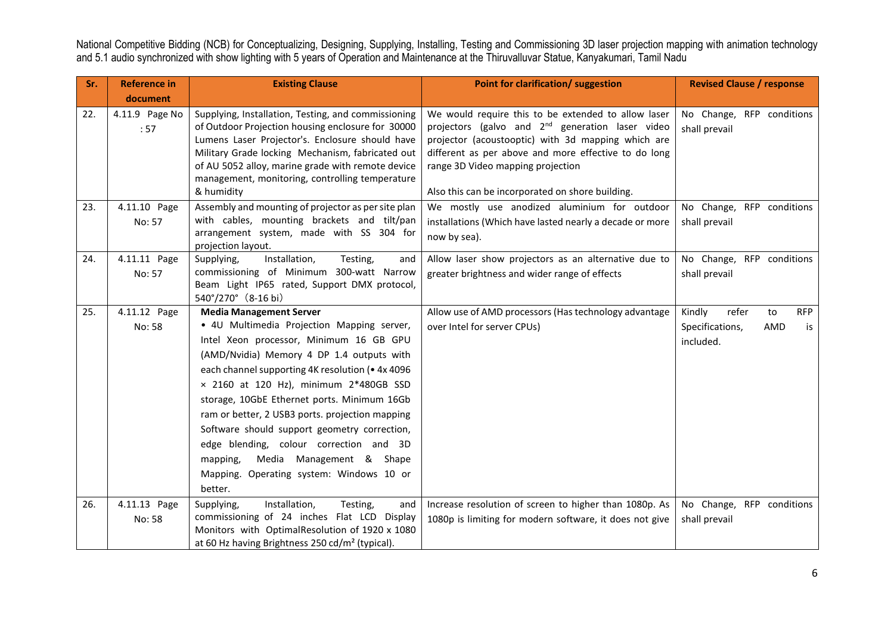| Sr. | <b>Reference in</b>    | <b>Existing Clause</b>                                                                                                                                                                                                                                                                                                                                                                                                                                                                                                                                         | Point for clarification/ suggestion                                                                                                                                                                                                                                                                                        | <b>Revised Clause / response</b>                                                 |
|-----|------------------------|----------------------------------------------------------------------------------------------------------------------------------------------------------------------------------------------------------------------------------------------------------------------------------------------------------------------------------------------------------------------------------------------------------------------------------------------------------------------------------------------------------------------------------------------------------------|----------------------------------------------------------------------------------------------------------------------------------------------------------------------------------------------------------------------------------------------------------------------------------------------------------------------------|----------------------------------------------------------------------------------|
|     | document               |                                                                                                                                                                                                                                                                                                                                                                                                                                                                                                                                                                |                                                                                                                                                                                                                                                                                                                            |                                                                                  |
| 22. | 4.11.9 Page No<br>:57  | Supplying, Installation, Testing, and commissioning<br>of Outdoor Projection housing enclosure for 30000<br>Lumens Laser Projector's. Enclosure should have<br>Military Grade locking Mechanism, fabricated out<br>of AU 5052 alloy, marine grade with remote device<br>management, monitoring, controlling temperature<br>& humidity                                                                                                                                                                                                                          | We would require this to be extended to allow laser<br>projectors (galvo and 2 <sup>nd</sup> generation laser video<br>projector (acoustooptic) with 3d mapping which are<br>different as per above and more effective to do long<br>range 3D Video mapping projection<br>Also this can be incorporated on shore building. | No Change, RFP conditions<br>shall prevail                                       |
| 23. | 4.11.10 Page<br>No: 57 | Assembly and mounting of projector as per site plan<br>with cables, mounting brackets and tilt/pan<br>arrangement system, made with SS 304 for<br>projection layout.                                                                                                                                                                                                                                                                                                                                                                                           | We mostly use anodized aluminium for outdoor<br>installations (Which have lasted nearly a decade or more<br>now by sea).                                                                                                                                                                                                   | No Change, RFP conditions<br>shall prevail                                       |
| 24. | 4.11.11 Page<br>No: 57 | Installation,<br>Supplying,<br>Testing,<br>and<br>commissioning of Minimum 300-watt Narrow<br>Beam Light IP65 rated, Support DMX protocol,<br>540°/270° (8-16 bi)                                                                                                                                                                                                                                                                                                                                                                                              | Allow laser show projectors as an alternative due to<br>greater brightness and wider range of effects                                                                                                                                                                                                                      | No Change, RFP conditions<br>shall prevail                                       |
| 25. | 4.11.12 Page<br>No: 58 | <b>Media Management Server</b><br>· 4U Multimedia Projection Mapping server,<br>Intel Xeon processor, Minimum 16 GB GPU<br>(AMD/Nvidia) Memory 4 DP 1.4 outputs with<br>each channel supporting 4K resolution (• 4x 4096<br>× 2160 at 120 Hz), minimum 2*480GB SSD<br>storage, 10GbE Ethernet ports. Minimum 16Gb<br>ram or better, 2 USB3 ports. projection mapping<br>Software should support geometry correction,<br>edge blending, colour correction and 3D<br>Media Management & Shape<br>mapping,<br>Mapping. Operating system: Windows 10 or<br>better. | Allow use of AMD processors (Has technology advantage<br>over Intel for server CPUs)                                                                                                                                                                                                                                       | Kindly<br>refer<br>to<br><b>RFP</b><br>Specifications,<br>AMD<br>is<br>included. |
| 26. | 4.11.13 Page<br>No: 58 | Supplying,<br>Installation,<br>Testing,<br>and<br>commissioning of 24 inches Flat LCD Display<br>Monitors with OptimalResolution of 1920 x 1080<br>at 60 Hz having Brightness 250 cd/m <sup>2</sup> (typical).                                                                                                                                                                                                                                                                                                                                                 | Increase resolution of screen to higher than 1080p. As<br>1080p is limiting for modern software, it does not give                                                                                                                                                                                                          | No Change, RFP conditions<br>shall prevail                                       |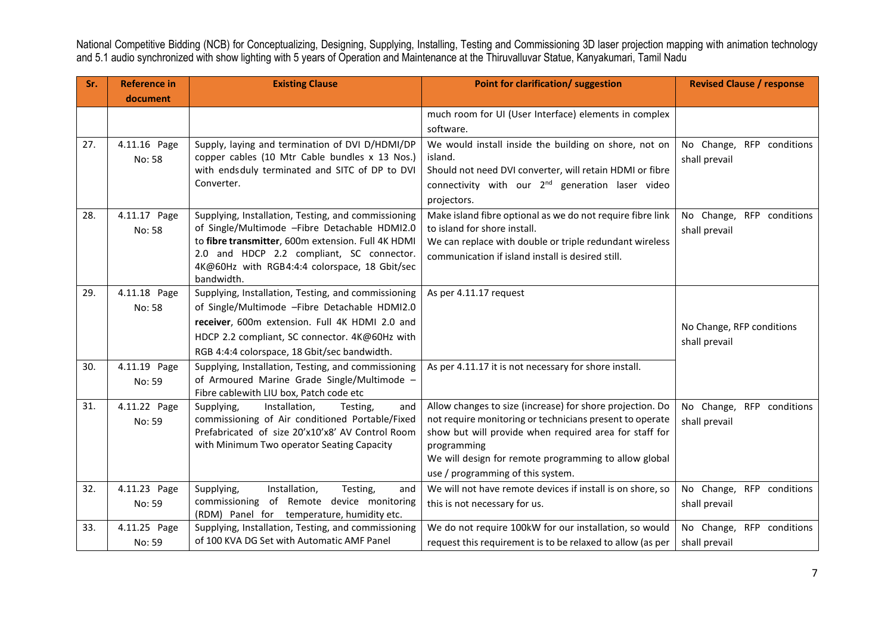| Sr. | <b>Reference in</b> | <b>Existing Clause</b>                                                                     | Point for clarification/ suggestion                                                             | <b>Revised Clause / response</b> |
|-----|---------------------|--------------------------------------------------------------------------------------------|-------------------------------------------------------------------------------------------------|----------------------------------|
|     | document            |                                                                                            |                                                                                                 |                                  |
|     |                     |                                                                                            | much room for UI (User Interface) elements in complex                                           |                                  |
|     |                     |                                                                                            | software.                                                                                       |                                  |
| 27. | 4.11.16 Page        | Supply, laying and termination of DVI D/HDMI/DP                                            | We would install inside the building on shore, not on                                           | No Change, RFP conditions        |
|     | No: 58              | copper cables (10 Mtr Cable bundles x 13 Nos.)                                             | island.                                                                                         | shall prevail                    |
|     |                     | with endsduly terminated and SITC of DP to DVI                                             | Should not need DVI converter, will retain HDMI or fibre                                        |                                  |
|     |                     | Converter.                                                                                 | connectivity with our 2 <sup>nd</sup> generation laser video                                    |                                  |
|     |                     |                                                                                            | projectors.                                                                                     |                                  |
| 28. | 4.11.17 Page        | Supplying, Installation, Testing, and commissioning                                        | Make island fibre optional as we do not require fibre link                                      | No Change,<br>RFP conditions     |
|     | No: 58              | of Single/Multimode -Fibre Detachable HDMI2.0                                              | to island for shore install.                                                                    | shall prevail                    |
|     |                     | to fibre transmitter, 600m extension. Full 4K HDMI                                         | We can replace with double or triple redundant wireless                                         |                                  |
|     |                     | 2.0 and HDCP 2.2 compliant, SC connector.<br>4K@60Hz with RGB4:4:4 colorspace, 18 Gbit/sec | communication if island install is desired still.                                               |                                  |
|     |                     | bandwidth.                                                                                 |                                                                                                 |                                  |
| 29. | 4.11.18 Page        | Supplying, Installation, Testing, and commissioning                                        | As per 4.11.17 request                                                                          |                                  |
|     | No: 58              | of Single/Multimode -Fibre Detachable HDMI2.0                                              |                                                                                                 |                                  |
|     |                     | receiver, 600m extension. Full 4K HDMI 2.0 and                                             |                                                                                                 | No Change, RFP conditions        |
|     |                     | HDCP 2.2 compliant, SC connector. 4K@60Hz with                                             |                                                                                                 | shall prevail                    |
|     |                     | RGB 4:4:4 colorspace, 18 Gbit/sec bandwidth.                                               |                                                                                                 |                                  |
| 30. | 4.11.19 Page        | Supplying, Installation, Testing, and commissioning                                        | As per 4.11.17 it is not necessary for shore install.                                           |                                  |
|     | No: 59              | of Armoured Marine Grade Single/Multimode -                                                |                                                                                                 |                                  |
|     |                     | Fibre cablewith LIU box, Patch code etc                                                    |                                                                                                 |                                  |
| 31. | 4.11.22 Page        | Supplying,<br>Installation,<br>Testing,<br>and                                             | Allow changes to size (increase) for shore projection. Do                                       | No Change,<br>RFP conditions     |
|     | No: 59              | commissioning of Air conditioned Portable/Fixed                                            | not require monitoring or technicians present to operate                                        | shall prevail                    |
|     |                     | Prefabricated of size 20'x10'x8' AV Control Room                                           | show but will provide when required area for staff for                                          |                                  |
|     |                     | with Minimum Two operator Seating Capacity                                                 | programming<br>We will design for remote programming to allow global                            |                                  |
|     |                     |                                                                                            |                                                                                                 |                                  |
| 32. | 4.11.23 Page        | Supplying,<br>Installation,<br>Testing,                                                    | use / programming of this system.<br>We will not have remote devices if install is on shore, so | No Change, RFP conditions        |
|     | No: 59              | and<br>commissioning of Remote device monitoring                                           | this is not necessary for us.                                                                   | shall prevail                    |
|     |                     | (RDM) Panel for temperature, humidity etc.                                                 |                                                                                                 |                                  |
| 33. | 4.11.25 Page        | Supplying, Installation, Testing, and commissioning                                        | We do not require 100kW for our installation, so would                                          | No Change, RFP conditions        |
|     | No: 59              | of 100 KVA DG Set with Automatic AMF Panel                                                 | request this requirement is to be relaxed to allow (as per                                      | shall prevail                    |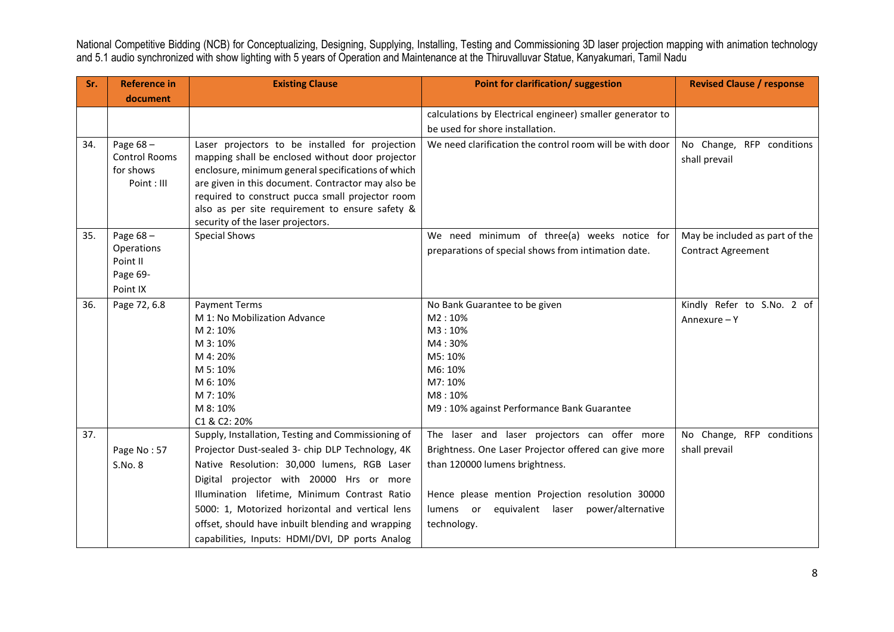| Sr. | <b>Reference in</b>  | <b>Existing Clause</b>                             | Point for clarification/ suggestion                       | <b>Revised Clause / response</b> |
|-----|----------------------|----------------------------------------------------|-----------------------------------------------------------|----------------------------------|
|     | document             |                                                    |                                                           |                                  |
|     |                      |                                                    | calculations by Electrical engineer) smaller generator to |                                  |
|     |                      |                                                    | be used for shore installation.                           |                                  |
| 34. | Page $68 -$          | Laser projectors to be installed for projection    | We need clarification the control room will be with door  | No Change, RFP conditions        |
|     | <b>Control Rooms</b> | mapping shall be enclosed without door projector   |                                                           | shall prevail                    |
|     | for shows            | enclosure, minimum general specifications of which |                                                           |                                  |
|     | Point: III           | are given in this document. Contractor may also be |                                                           |                                  |
|     |                      | required to construct pucca small projector room   |                                                           |                                  |
|     |                      | also as per site requirement to ensure safety &    |                                                           |                                  |
|     |                      | security of the laser projectors.                  |                                                           |                                  |
| 35. | Page $68 -$          | <b>Special Shows</b>                               | We need minimum of three(a) weeks notice for              | May be included as part of the   |
|     | Operations           |                                                    | preparations of special shows from intimation date.       | <b>Contract Agreement</b>        |
|     | Point II             |                                                    |                                                           |                                  |
|     | Page 69-             |                                                    |                                                           |                                  |
|     | Point IX             |                                                    |                                                           |                                  |
| 36. | Page 72, 6.8         | <b>Payment Terms</b>                               | No Bank Guarantee to be given                             | Kindly Refer to S.No. 2 of       |
|     |                      | M 1: No Mobilization Advance                       | M2:10%                                                    | Annexure - Y                     |
|     |                      | M 2: 10%                                           | M3:10%                                                    |                                  |
|     |                      | M 3:10%                                            | M4:30%                                                    |                                  |
|     |                      | M 4: 20%<br>M 5:10%                                | M5: 10%<br>M6: 10%                                        |                                  |
|     |                      | M 6:10%                                            | M7: 10%                                                   |                                  |
|     |                      | M 7: 10%                                           | M8:10%                                                    |                                  |
|     |                      | M 8: 10%                                           | M9: 10% against Performance Bank Guarantee                |                                  |
|     |                      | C1 & C2: 20%                                       |                                                           |                                  |
| 37. |                      | Supply, Installation, Testing and Commissioning of | The laser and laser projectors can offer more             | No Change, RFP conditions        |
|     | Page No: 57          | Projector Dust-sealed 3- chip DLP Technology, 4K   | Brightness. One Laser Projector offered can give more     | shall prevail                    |
|     | S.No. 8              | Native Resolution: 30,000 lumens, RGB Laser        | than 120000 lumens brightness.                            |                                  |
|     |                      | Digital projector with 20000 Hrs or more           |                                                           |                                  |
|     |                      | Illumination lifetime, Minimum Contrast Ratio      | Hence please mention Projection resolution 30000          |                                  |
|     |                      | 5000: 1, Motorized horizontal and vertical lens    | equivalent laser<br>power/alternative<br>lumens or        |                                  |
|     |                      | offset, should have inbuilt blending and wrapping  | technology.                                               |                                  |
|     |                      | capabilities, Inputs: HDMI/DVI, DP ports Analog    |                                                           |                                  |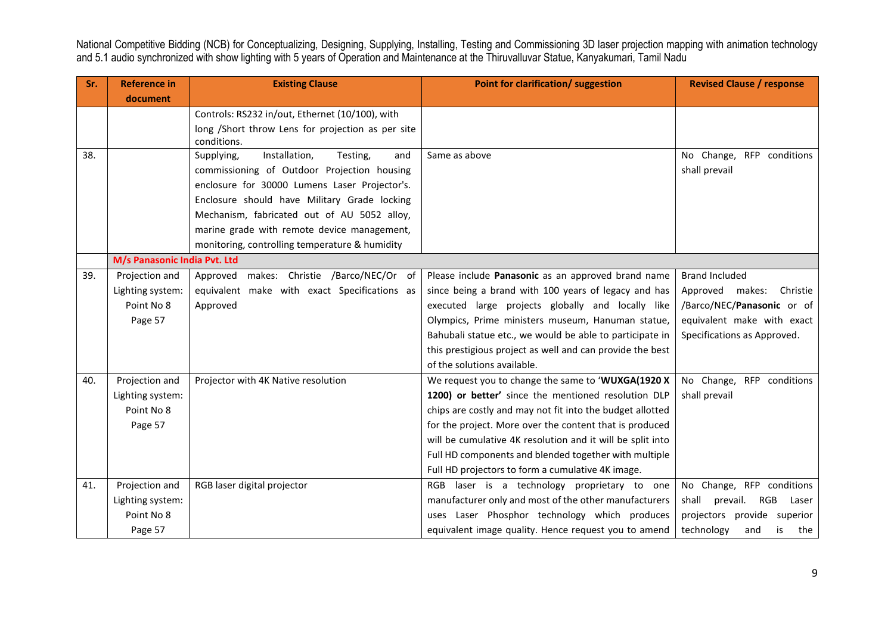| Sr. | <b>Reference in</b>          | <b>Existing Clause</b>                            | Point for clarification/ suggestion                        | <b>Revised Clause / response</b> |
|-----|------------------------------|---------------------------------------------------|------------------------------------------------------------|----------------------------------|
|     | document                     |                                                   |                                                            |                                  |
|     |                              | Controls: RS232 in/out, Ethernet (10/100), with   |                                                            |                                  |
|     |                              | long /Short throw Lens for projection as per site |                                                            |                                  |
|     |                              | conditions.                                       |                                                            |                                  |
| 38. |                              | Installation,<br>Supplying,<br>Testing,<br>and    | Same as above                                              | No Change, RFP conditions        |
|     |                              | commissioning of Outdoor Projection housing       |                                                            | shall prevail                    |
|     |                              | enclosure for 30000 Lumens Laser Projector's.     |                                                            |                                  |
|     |                              | Enclosure should have Military Grade locking      |                                                            |                                  |
|     |                              | Mechanism, fabricated out of AU 5052 alloy,       |                                                            |                                  |
|     |                              | marine grade with remote device management,       |                                                            |                                  |
|     |                              | monitoring, controlling temperature & humidity    |                                                            |                                  |
|     | M/s Panasonic India Pvt. Ltd |                                                   |                                                            |                                  |
| 39. | Projection and               | Approved makes: Christie /Barco/NEC/Or of         | Please include Panasonic as an approved brand name         | <b>Brand Included</b>            |
|     | Lighting system:             | equivalent make with exact Specifications as      | since being a brand with 100 years of legacy and has       | Approved<br>Christie<br>makes:   |
|     | Point No 8                   | Approved                                          | executed large projects globally and locally like          | /Barco/NEC/Panasonic or of       |
|     | Page 57                      |                                                   | Olympics, Prime ministers museum, Hanuman statue,          | equivalent make with exact       |
|     |                              |                                                   | Bahubali statue etc., we would be able to participate in   | Specifications as Approved.      |
|     |                              |                                                   | this prestigious project as well and can provide the best  |                                  |
|     |                              |                                                   | of the solutions available.                                |                                  |
| 40. | Projection and               | Projector with 4K Native resolution               | We request you to change the same to 'WUXGA(1920 X         | No Change, RFP conditions        |
|     | Lighting system:             |                                                   | 1200) or better' since the mentioned resolution DLP        | shall prevail                    |
|     | Point No 8                   |                                                   | chips are costly and may not fit into the budget allotted  |                                  |
|     | Page 57                      |                                                   | for the project. More over the content that is produced    |                                  |
|     |                              |                                                   | will be cumulative 4K resolution and it will be split into |                                  |
|     |                              |                                                   | Full HD components and blended together with multiple      |                                  |
|     |                              |                                                   | Full HD projectors to form a cumulative 4K image.          |                                  |
| 41. | Projection and               | RGB laser digital projector                       | laser is a technology proprietary to one<br><b>RGB</b>     | No Change, RFP conditions        |
|     | Lighting system:             |                                                   | manufacturer only and most of the other manufacturers      | shall<br>prevail. RGB<br>Laser   |
|     | Point No 8                   |                                                   | uses Laser Phosphor technology which produces              | projectors provide superior      |
|     | Page 57                      |                                                   | equivalent image quality. Hence request you to amend       | technology<br>is<br>the<br>and   |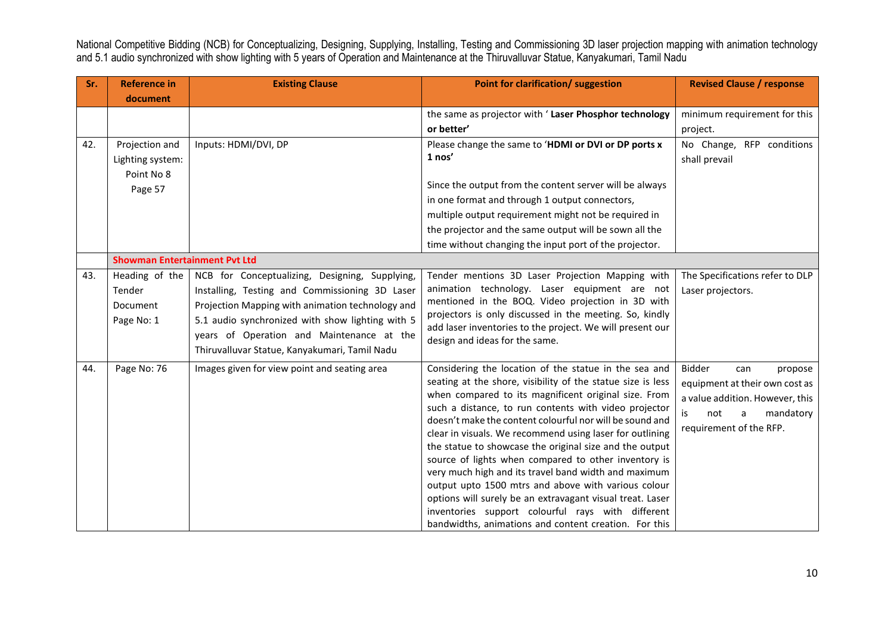| Sr. | <b>Reference in</b>                  | <b>Existing Clause</b>                           | Point for clarification/ suggestion                                                                                  | <b>Revised Clause / response</b> |
|-----|--------------------------------------|--------------------------------------------------|----------------------------------------------------------------------------------------------------------------------|----------------------------------|
|     | document                             |                                                  |                                                                                                                      |                                  |
|     |                                      |                                                  | the same as projector with 'Laser Phosphor technology                                                                | minimum requirement for this     |
|     |                                      |                                                  | or better'                                                                                                           | project.                         |
| 42. | Projection and                       | Inputs: HDMI/DVI, DP                             | Please change the same to 'HDMI or DVI or DP ports x                                                                 | No Change, RFP conditions        |
|     | Lighting system:                     |                                                  | $1$ nos'                                                                                                             | shall prevail                    |
|     | Point No 8                           |                                                  |                                                                                                                      |                                  |
|     | Page 57                              |                                                  | Since the output from the content server will be always                                                              |                                  |
|     |                                      |                                                  | in one format and through 1 output connectors,                                                                       |                                  |
|     |                                      |                                                  | multiple output requirement might not be required in                                                                 |                                  |
|     |                                      |                                                  | the projector and the same output will be sown all the                                                               |                                  |
|     |                                      |                                                  | time without changing the input port of the projector.                                                               |                                  |
|     | <b>Showman Entertainment Pvt Ltd</b> |                                                  |                                                                                                                      |                                  |
| 43. | Heading of the                       | NCB for Conceptualizing, Designing, Supplying,   | Tender mentions 3D Laser Projection Mapping with                                                                     | The Specifications refer to DLP  |
|     | Tender                               | Installing, Testing and Commissioning 3D Laser   | animation technology. Laser equipment are not                                                                        | Laser projectors.                |
|     | <b>Document</b>                      | Projection Mapping with animation technology and | mentioned in the BOQ. Video projection in 3D with                                                                    |                                  |
|     | Page No: 1                           | 5.1 audio synchronized with show lighting with 5 | projectors is only discussed in the meeting. So, kindly<br>add laser inventories to the project. We will present our |                                  |
|     |                                      | years of Operation and Maintenance at the        | design and ideas for the same.                                                                                       |                                  |
|     |                                      | Thiruvalluvar Statue, Kanyakumari, Tamil Nadu    |                                                                                                                      |                                  |
| 44. | Page No: 76                          | Images given for view point and seating area     | Considering the location of the statue in the sea and                                                                | Bidder<br>can<br>propose         |
|     |                                      |                                                  | seating at the shore, visibility of the statue size is less                                                          | equipment at their own cost as   |
|     |                                      |                                                  | when compared to its magnificent original size. From                                                                 | a value addition. However, this  |
|     |                                      |                                                  | such a distance, to run contents with video projector                                                                | is.<br>mandatory<br>not<br>a     |
|     |                                      |                                                  | doesn't make the content colourful nor will be sound and                                                             | requirement of the RFP.          |
|     |                                      |                                                  | clear in visuals. We recommend using laser for outlining                                                             |                                  |
|     |                                      |                                                  | the statue to showcase the original size and the output                                                              |                                  |
|     |                                      |                                                  | source of lights when compared to other inventory is                                                                 |                                  |
|     |                                      |                                                  | very much high and its travel band width and maximum<br>output upto 1500 mtrs and above with various colour          |                                  |
|     |                                      |                                                  | options will surely be an extravagant visual treat. Laser                                                            |                                  |
|     |                                      |                                                  | inventories support colourful rays with different                                                                    |                                  |
|     |                                      |                                                  | bandwidths, animations and content creation. For this                                                                |                                  |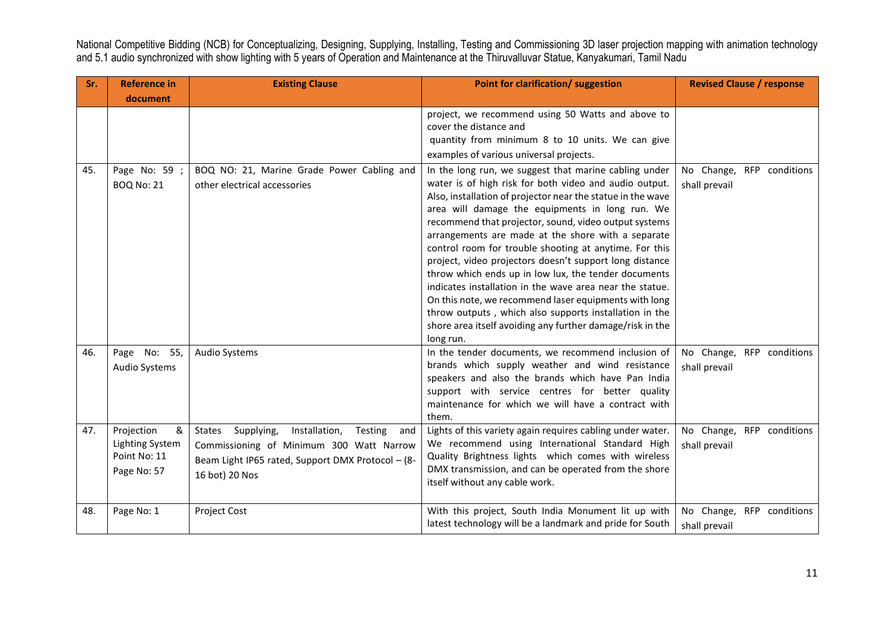| Sr.        | <b>Reference in</b>                                   | <b>Existing Clause</b>                                                                                          | Point for clarification/ suggestion                                                                                                                                                                                                                                                                                                                                                                                                                                                                                                                                                                                                                                                                                                                                                    | <b>Revised Clause / response</b>                                        |
|------------|-------------------------------------------------------|-----------------------------------------------------------------------------------------------------------------|----------------------------------------------------------------------------------------------------------------------------------------------------------------------------------------------------------------------------------------------------------------------------------------------------------------------------------------------------------------------------------------------------------------------------------------------------------------------------------------------------------------------------------------------------------------------------------------------------------------------------------------------------------------------------------------------------------------------------------------------------------------------------------------|-------------------------------------------------------------------------|
|            | document                                              |                                                                                                                 |                                                                                                                                                                                                                                                                                                                                                                                                                                                                                                                                                                                                                                                                                                                                                                                        |                                                                         |
|            |                                                       |                                                                                                                 | project, we recommend using 50 Watts and above to<br>cover the distance and<br>quantity from minimum 8 to 10 units. We can give<br>examples of various universal projects.                                                                                                                                                                                                                                                                                                                                                                                                                                                                                                                                                                                                             |                                                                         |
| 45.        | Page No: 59 ;<br><b>BOQ No: 21</b>                    | BOQ NO: 21, Marine Grade Power Cabling and<br>other electrical accessories                                      | In the long run, we suggest that marine cabling under<br>water is of high risk for both video and audio output.<br>Also, installation of projector near the statue in the wave<br>area will damage the equipments in long run. We<br>recommend that projector, sound, video output systems<br>arrangements are made at the shore with a separate<br>control room for trouble shooting at anytime. For this<br>project, video projectors doesn't support long distance<br>throw which ends up in low lux, the tender documents<br>indicates installation in the wave area near the statue.<br>On this note, we recommend laser equipments with long<br>throw outputs, which also supports installation in the<br>shore area itself avoiding any further damage/risk in the<br>long run. | No Change, RFP conditions<br>shall prevail                              |
| 46.<br>47. | Page No: 55,<br>Audio Systems<br>Projection<br>&      | <b>Audio Systems</b><br>Installation,<br>Supplying,<br>Testing<br><b>States</b><br>and                          | In the tender documents, we recommend inclusion of<br>brands which supply weather and wind resistance<br>speakers and also the brands which have Pan India<br>support with service centres for better quality<br>maintenance for which we will have a contract with<br>them.<br>Lights of this variety again requires cabling under water.                                                                                                                                                                                                                                                                                                                                                                                                                                             | No Change, RFP conditions<br>shall prevail<br>No Change, RFP conditions |
|            | <b>Lighting System</b><br>Point No: 11<br>Page No: 57 | Commissioning of Minimum 300 Watt Narrow<br>Beam Light IP65 rated, Support DMX Protocol - (8-<br>16 bot) 20 Nos | We recommend using International Standard High<br>Quality Brightness lights which comes with wireless<br>DMX transmission, and can be operated from the shore<br>itself without any cable work.                                                                                                                                                                                                                                                                                                                                                                                                                                                                                                                                                                                        | shall prevail                                                           |
| 48.        | Page No: 1                                            | <b>Project Cost</b>                                                                                             | With this project, South India Monument lit up with<br>latest technology will be a landmark and pride for South                                                                                                                                                                                                                                                                                                                                                                                                                                                                                                                                                                                                                                                                        | No Change, RFP conditions<br>shall prevail                              |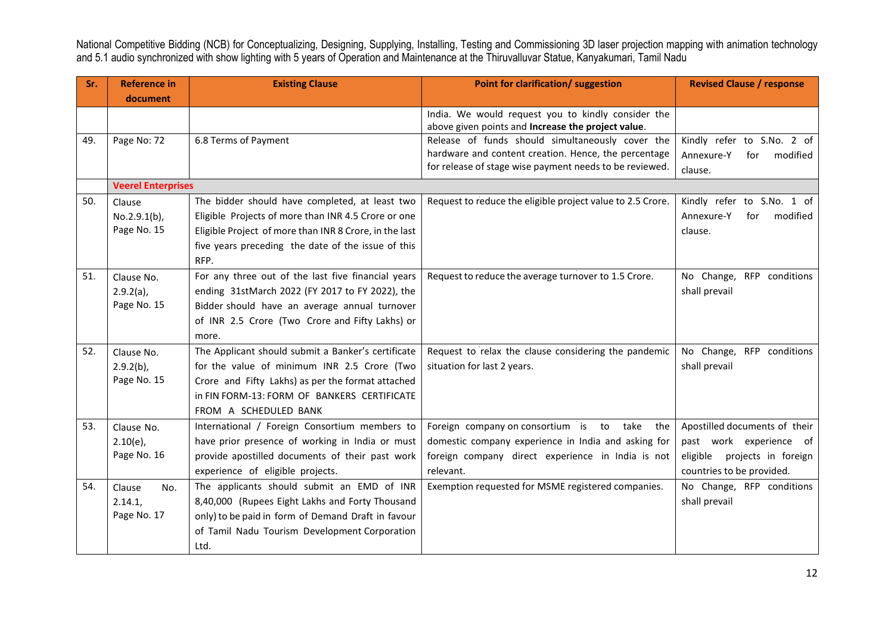| Sr. | <b>Reference in</b>       | <b>Existing Clause</b>                                 | Point for clarification/ suggestion                        | <b>Revised Clause / response</b> |
|-----|---------------------------|--------------------------------------------------------|------------------------------------------------------------|----------------------------------|
|     | document                  |                                                        |                                                            |                                  |
|     |                           |                                                        | India. We would request you to kindly consider the         |                                  |
|     |                           |                                                        | above given points and Increase the project value.         |                                  |
| 49. | Page No: 72               | 6.8 Terms of Payment                                   | Release of funds should simultaneously cover the           | Kindly refer to S.No. 2 of       |
|     |                           |                                                        | hardware and content creation. Hence, the percentage       | Annexure-Y<br>modified<br>for    |
|     |                           |                                                        | for release of stage wise payment needs to be reviewed.    | clause.                          |
|     | <b>Veerel Enterprises</b> |                                                        |                                                            |                                  |
| 50. | Clause                    | The bidder should have completed, at least two         | Request to reduce the eligible project value to 2.5 Crore. | Kindly refer to S.No. 1 of       |
|     | $No.2.9.1(b)$ ,           | Eligible Projects of more than INR 4.5 Crore or one    |                                                            | Annexure-Y<br>modified<br>for    |
|     | Page No. 15               | Eligible Project of more than INR 8 Crore, in the last |                                                            | clause.                          |
|     |                           | five years preceding the date of the issue of this     |                                                            |                                  |
|     |                           | RFP.                                                   |                                                            |                                  |
| 51. | Clause No.                | For any three out of the last five financial years     | Request to reduce the average turnover to 1.5 Crore.       | No Change, RFP conditions        |
|     | $2.9.2(a)$ ,              | ending 31stMarch 2022 (FY 2017 to FY 2022), the        |                                                            | shall prevail                    |
|     | Page No. 15               | Bidder should have an average annual turnover          |                                                            |                                  |
|     |                           | of INR 2.5 Crore (Two Crore and Fifty Lakhs) or        |                                                            |                                  |
|     |                           | more.                                                  |                                                            |                                  |
| 52. | Clause No.                | The Applicant should submit a Banker's certificate     | Request to relax the clause considering the pandemic       | No Change, RFP conditions        |
|     | $2.9.2(b)$ ,              | for the value of minimum INR 2.5 Crore (Two            | situation for last 2 years.                                | shall prevail                    |
|     | Page No. 15               | Crore and Fifty Lakhs) as per the format attached      |                                                            |                                  |
|     |                           | in FIN FORM-13: FORM OF BANKERS CERTIFICATE            |                                                            |                                  |
|     |                           | FROM A SCHEDULED BANK                                  |                                                            |                                  |
| 53. | Clause No.                | International / Foreign Consortium members to          | Foreign company on consortium is to take<br>the            | Apostilled documents of their    |
|     | $2.10(e)$ ,               | have prior presence of working in India or must        | domestic company experience in India and asking for        | past work experience of          |
|     | Page No. 16               | provide apostilled documents of their past work        | foreign company direct experience in India is not          | projects in foreign<br>eligible  |
|     |                           | experience of eligible projects.                       | relevant.                                                  | countries to be provided.        |
| 54. | Clause<br>No.             | The applicants should submit an EMD of INR             | Exemption requested for MSME registered companies.         | No Change, RFP conditions        |
|     | 2.14.1,                   | 8,40,000 (Rupees Eight Lakhs and Forty Thousand        |                                                            | shall prevail                    |
|     | Page No. 17               | only) to be paid in form of Demand Draft in favour     |                                                            |                                  |
|     |                           | of Tamil Nadu Tourism Development Corporation          |                                                            |                                  |
|     |                           | Ltd.                                                   |                                                            |                                  |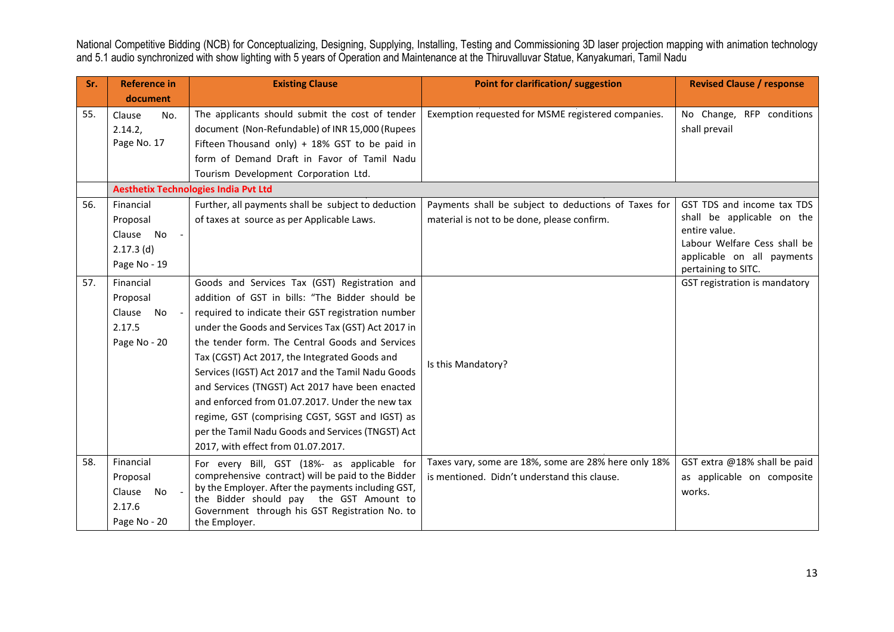| Sr. | <b>Reference in</b> | <b>Existing Clause</b>                                                                        | <b>Point for clarification/ suggestion</b>           | <b>Revised Clause / response</b>                  |
|-----|---------------------|-----------------------------------------------------------------------------------------------|------------------------------------------------------|---------------------------------------------------|
|     | document            |                                                                                               |                                                      |                                                   |
| 55. | Clause<br>No.       | The applicants should submit the cost of tender                                               | Exemption requested for MSME registered companies.   | No Change, RFP conditions                         |
|     | 2.14.2,             | document (Non-Refundable) of INR 15,000 (Rupees                                               |                                                      | shall prevail                                     |
|     | Page No. 17         | Fifteen Thousand only) + 18% GST to be paid in                                                |                                                      |                                                   |
|     |                     | form of Demand Draft in Favor of Tamil Nadu                                                   |                                                      |                                                   |
|     |                     | Tourism Development Corporation Ltd.                                                          |                                                      |                                                   |
|     |                     | <b>Aesthetix Technologies India Pvt Ltd</b>                                                   |                                                      |                                                   |
| 56. | Financial           | Further, all payments shall be subject to deduction                                           | Payments shall be subject to deductions of Taxes for | GST TDS and income tax TDS                        |
|     | Proposal            | of taxes at source as per Applicable Laws.                                                    | material is not to be done, please confirm.          | shall be applicable on the                        |
|     | Clause No           |                                                                                               |                                                      | entire value.                                     |
|     | $2.17.3$ (d)        |                                                                                               |                                                      | Labour Welfare Cess shall be                      |
|     | Page No - 19        |                                                                                               |                                                      | applicable on all payments<br>pertaining to SITC. |
| 57. | Financial           | Goods and Services Tax (GST) Registration and                                                 |                                                      | GST registration is mandatory                     |
|     | Proposal            | addition of GST in bills: "The Bidder should be                                               |                                                      |                                                   |
|     | No<br>Clause        | required to indicate their GST registration number                                            |                                                      |                                                   |
|     | 2.17.5              | under the Goods and Services Tax (GST) Act 2017 in                                            |                                                      |                                                   |
|     | Page No - 20        | the tender form. The Central Goods and Services                                               |                                                      |                                                   |
|     |                     | Tax (CGST) Act 2017, the Integrated Goods and                                                 |                                                      |                                                   |
|     |                     | Services (IGST) Act 2017 and the Tamil Nadu Goods                                             | Is this Mandatory?                                   |                                                   |
|     |                     | and Services (TNGST) Act 2017 have been enacted                                               |                                                      |                                                   |
|     |                     | and enforced from 01.07.2017. Under the new tax                                               |                                                      |                                                   |
|     |                     | regime, GST (comprising CGST, SGST and IGST) as                                               |                                                      |                                                   |
|     |                     | per the Tamil Nadu Goods and Services (TNGST) Act                                             |                                                      |                                                   |
|     |                     | 2017, with effect from 01.07.2017.                                                            |                                                      |                                                   |
| 58. | Financial           | For every Bill, GST (18%- as applicable for                                                   | Taxes vary, some are 18%, some are 28% here only 18% | GST extra @18% shall be paid                      |
|     | Proposal            | comprehensive contract) will be paid to the Bidder                                            | is mentioned. Didn't understand this clause.         | as applicable on composite                        |
|     | Clause<br>No        | by the Employer. After the payments including GST,<br>the Bidder should pay the GST Amount to |                                                      | works.                                            |
|     | 2.17.6              | Government through his GST Registration No. to                                                |                                                      |                                                   |
|     | Page No - 20        | the Employer.                                                                                 |                                                      |                                                   |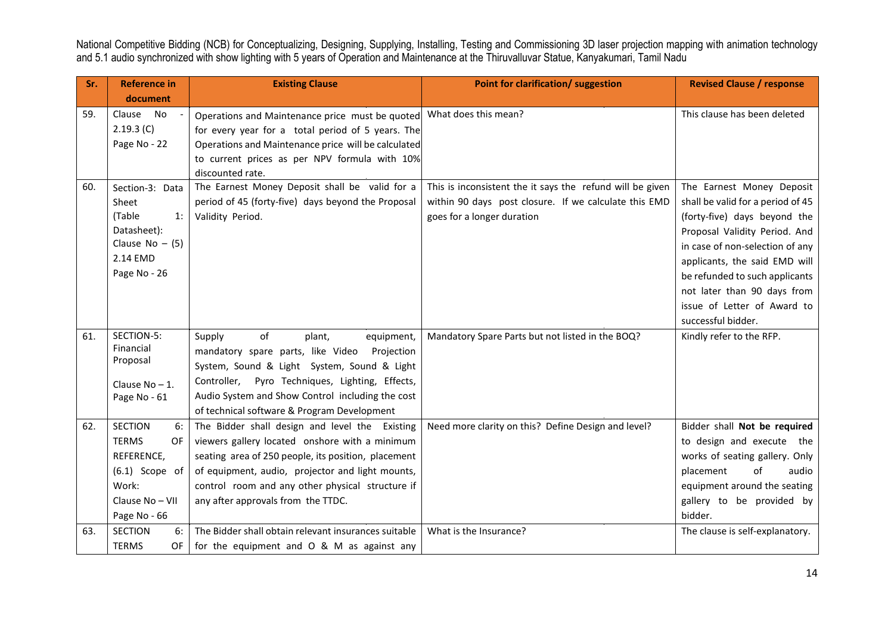| Sr. | <b>Reference in</b>                                                                                                       | <b>Existing Clause</b>                                                                                                                                                                                                                                                                                | <b>Point for clarification/ suggestion</b>                                                                                                       | <b>Revised Clause / response</b>                                                                                                                                                                                                                                                                                          |
|-----|---------------------------------------------------------------------------------------------------------------------------|-------------------------------------------------------------------------------------------------------------------------------------------------------------------------------------------------------------------------------------------------------------------------------------------------------|--------------------------------------------------------------------------------------------------------------------------------------------------|---------------------------------------------------------------------------------------------------------------------------------------------------------------------------------------------------------------------------------------------------------------------------------------------------------------------------|
|     | document                                                                                                                  |                                                                                                                                                                                                                                                                                                       |                                                                                                                                                  |                                                                                                                                                                                                                                                                                                                           |
| 59. | <b>No</b><br>Clause<br>2.19.3(C)<br>Page No - 22                                                                          | Operations and Maintenance price must be quoted<br>for every year for a total period of 5 years. The<br>Operations and Maintenance price will be calculated<br>to current prices as per NPV formula with 10%<br>discounted rate.                                                                      | What does this mean?                                                                                                                             | This clause has been deleted                                                                                                                                                                                                                                                                                              |
| 60. | Section-3: Data<br>Sheet<br>(Table<br>1:<br>Datasheet):<br>Clause $No - (5)$<br>2.14 EMD<br>Page No - 26                  | The Earnest Money Deposit shall be valid for a<br>period of 45 (forty-five) days beyond the Proposal<br>Validity Period.                                                                                                                                                                              | This is inconsistent the it says the refund will be given<br>within 90 days post closure. If we calculate this EMD<br>goes for a longer duration | The Earnest Money Deposit<br>shall be valid for a period of 45<br>(forty-five) days beyond the<br>Proposal Validity Period. And<br>in case of non-selection of any<br>applicants, the said EMD will<br>be refunded to such applicants<br>not later than 90 days from<br>issue of Letter of Award to<br>successful bidder. |
| 61. | SECTION-5:<br>Financial<br>Proposal<br>Clause $No - 1$ .<br>Page No - 61                                                  | of<br>Supply<br>plant,<br>equipment,<br>mandatory spare parts, like Video<br>Projection<br>System, Sound & Light System, Sound & Light<br>Controller, Pyro Techniques, Lighting, Effects,<br>Audio System and Show Control including the cost<br>of technical software & Program Development          | Mandatory Spare Parts but not listed in the BOQ?                                                                                                 | Kindly refer to the RFP.                                                                                                                                                                                                                                                                                                  |
| 62. | <b>SECTION</b><br>6:<br><b>TERMS</b><br>OF.<br>REFERENCE,<br>$(6.1)$ Scope of<br>Work:<br>Clause No - VII<br>Page No - 66 | The Bidder shall design and level the Existing<br>viewers gallery located onshore with a minimum<br>seating area of 250 people, its position, placement<br>of equipment, audio, projector and light mounts,<br>control room and any other physical structure if<br>any after approvals from the TTDC. | Need more clarity on this? Define Design and level?                                                                                              | Bidder shall Not be required<br>to design and execute the<br>works of seating gallery. Only<br>of<br>placement<br>audio<br>equipment around the seating<br>gallery to be provided by<br>bidder.                                                                                                                           |
| 63. | <b>SECTION</b><br>6:<br><b>TERMS</b><br><b>OF</b>                                                                         | The Bidder shall obtain relevant insurances suitable<br>for the equipment and O & M as against any                                                                                                                                                                                                    | What is the Insurance?                                                                                                                           | The clause is self-explanatory.                                                                                                                                                                                                                                                                                           |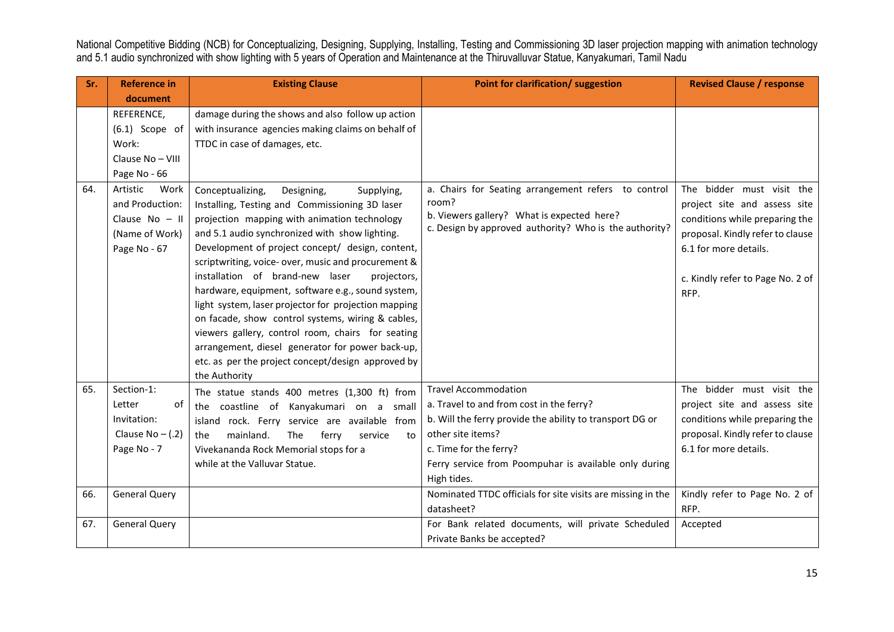| Sr. | <b>Reference in</b>                                                                       | <b>Existing Clause</b>                                                                                                                                                                                                                                                                                                                                                                                                                                                                                                                                                                                                                                                                         | <b>Point for clarification/ suggestion</b>                                                                                                                           | <b>Revised Clause / response</b>                                                                                                                                                                     |
|-----|-------------------------------------------------------------------------------------------|------------------------------------------------------------------------------------------------------------------------------------------------------------------------------------------------------------------------------------------------------------------------------------------------------------------------------------------------------------------------------------------------------------------------------------------------------------------------------------------------------------------------------------------------------------------------------------------------------------------------------------------------------------------------------------------------|----------------------------------------------------------------------------------------------------------------------------------------------------------------------|------------------------------------------------------------------------------------------------------------------------------------------------------------------------------------------------------|
|     | document                                                                                  |                                                                                                                                                                                                                                                                                                                                                                                                                                                                                                                                                                                                                                                                                                |                                                                                                                                                                      |                                                                                                                                                                                                      |
|     | REFERENCE,                                                                                | damage during the shows and also follow up action                                                                                                                                                                                                                                                                                                                                                                                                                                                                                                                                                                                                                                              |                                                                                                                                                                      |                                                                                                                                                                                                      |
|     | $(6.1)$ Scope of                                                                          | with insurance agencies making claims on behalf of                                                                                                                                                                                                                                                                                                                                                                                                                                                                                                                                                                                                                                             |                                                                                                                                                                      |                                                                                                                                                                                                      |
|     | Work:                                                                                     | TTDC in case of damages, etc.                                                                                                                                                                                                                                                                                                                                                                                                                                                                                                                                                                                                                                                                  |                                                                                                                                                                      |                                                                                                                                                                                                      |
|     | Clause No - VIII                                                                          |                                                                                                                                                                                                                                                                                                                                                                                                                                                                                                                                                                                                                                                                                                |                                                                                                                                                                      |                                                                                                                                                                                                      |
|     | Page No - 66                                                                              |                                                                                                                                                                                                                                                                                                                                                                                                                                                                                                                                                                                                                                                                                                |                                                                                                                                                                      |                                                                                                                                                                                                      |
| 64. | Work<br>Artistic<br>and Production:<br>Clause $No - II$<br>(Name of Work)<br>Page No - 67 | Conceptualizing,<br>Designing,<br>Supplying,<br>Installing, Testing and Commissioning 3D laser<br>projection mapping with animation technology<br>and 5.1 audio synchronized with show lighting.<br>Development of project concept/ design, content,<br>scriptwriting, voice- over, music and procurement &<br>installation of brand-new laser<br>projectors,<br>hardware, equipment, software e.g., sound system,<br>light system, laser projector for projection mapping<br>on facade, show control systems, wiring & cables,<br>viewers gallery, control room, chairs for seating<br>arrangement, diesel generator for power back-up,<br>etc. as per the project concept/design approved by | a. Chairs for Seating arrangement refers to control<br>room?<br>b. Viewers gallery? What is expected here?<br>c. Design by approved authority? Who is the authority? | The bidder must visit the<br>project site and assess site<br>conditions while preparing the<br>proposal. Kindly refer to clause<br>6.1 for more details.<br>c. Kindly refer to Page No. 2 of<br>RFP. |
|     |                                                                                           | the Authority                                                                                                                                                                                                                                                                                                                                                                                                                                                                                                                                                                                                                                                                                  |                                                                                                                                                                      |                                                                                                                                                                                                      |
| 65. | Section-1:                                                                                | The statue stands 400 metres (1,300 ft) from                                                                                                                                                                                                                                                                                                                                                                                                                                                                                                                                                                                                                                                   | <b>Travel Accommodation</b>                                                                                                                                          | The bidder must visit the                                                                                                                                                                            |
|     | Letter<br>οf                                                                              | the coastline of Kanyakumari on a small                                                                                                                                                                                                                                                                                                                                                                                                                                                                                                                                                                                                                                                        | a. Travel to and from cost in the ferry?                                                                                                                             | project site and assess site                                                                                                                                                                         |
|     | Invitation:                                                                               | island rock. Ferry service are available from                                                                                                                                                                                                                                                                                                                                                                                                                                                                                                                                                                                                                                                  | b. Will the ferry provide the ability to transport DG or                                                                                                             | conditions while preparing the                                                                                                                                                                       |
|     | Clause $No - (.2)$                                                                        | mainland.<br>The<br>ferry<br>service<br>to<br>the                                                                                                                                                                                                                                                                                                                                                                                                                                                                                                                                                                                                                                              | other site items?                                                                                                                                                    | proposal. Kindly refer to clause                                                                                                                                                                     |
|     | Page No - 7                                                                               | Vivekananda Rock Memorial stops for a                                                                                                                                                                                                                                                                                                                                                                                                                                                                                                                                                                                                                                                          | c. Time for the ferry?                                                                                                                                               | 6.1 for more details.                                                                                                                                                                                |
|     |                                                                                           | while at the Valluvar Statue.                                                                                                                                                                                                                                                                                                                                                                                                                                                                                                                                                                                                                                                                  | Ferry service from Poompuhar is available only during                                                                                                                |                                                                                                                                                                                                      |
|     |                                                                                           |                                                                                                                                                                                                                                                                                                                                                                                                                                                                                                                                                                                                                                                                                                | High tides.                                                                                                                                                          |                                                                                                                                                                                                      |
| 66. | <b>General Query</b>                                                                      |                                                                                                                                                                                                                                                                                                                                                                                                                                                                                                                                                                                                                                                                                                | Nominated TTDC officials for site visits are missing in the                                                                                                          | Kindly refer to Page No. 2 of                                                                                                                                                                        |
|     |                                                                                           |                                                                                                                                                                                                                                                                                                                                                                                                                                                                                                                                                                                                                                                                                                | datasheet?                                                                                                                                                           | RFP.                                                                                                                                                                                                 |
| 67. | <b>General Query</b>                                                                      |                                                                                                                                                                                                                                                                                                                                                                                                                                                                                                                                                                                                                                                                                                | For Bank related documents, will private Scheduled                                                                                                                   | Accepted                                                                                                                                                                                             |
|     |                                                                                           |                                                                                                                                                                                                                                                                                                                                                                                                                                                                                                                                                                                                                                                                                                | Private Banks be accepted?                                                                                                                                           |                                                                                                                                                                                                      |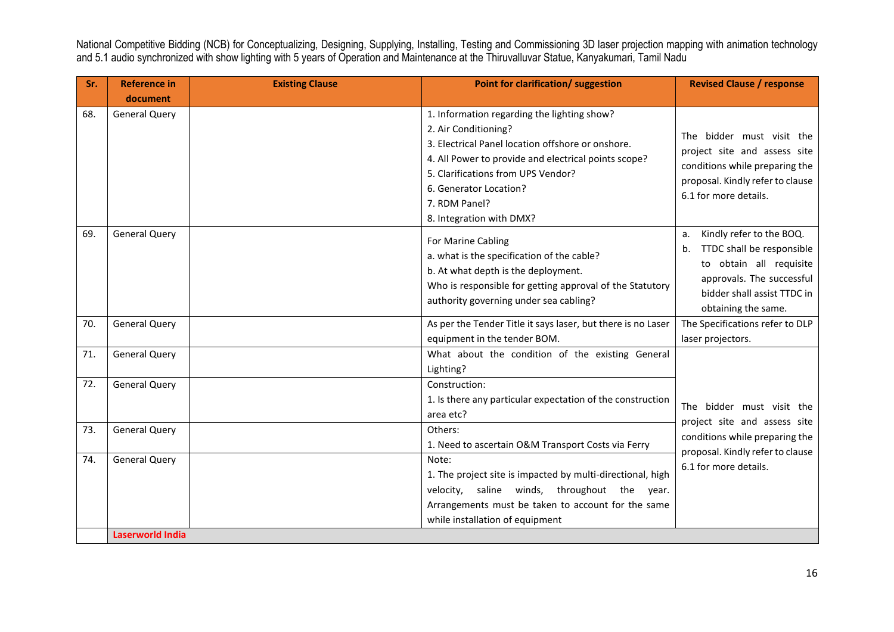| Sr. | <b>Reference in</b>     | <b>Existing Clause</b> | <b>Point for clarification/ suggestion</b>                                                                                                                                                                                                                                                    | <b>Revised Clause / response</b>                                                                                                                                             |
|-----|-------------------------|------------------------|-----------------------------------------------------------------------------------------------------------------------------------------------------------------------------------------------------------------------------------------------------------------------------------------------|------------------------------------------------------------------------------------------------------------------------------------------------------------------------------|
|     | document                |                        |                                                                                                                                                                                                                                                                                               |                                                                                                                                                                              |
| 68. | <b>General Query</b>    |                        | 1. Information regarding the lighting show?<br>2. Air Conditioning?<br>3. Electrical Panel location offshore or onshore.<br>4. All Power to provide and electrical points scope?<br>5. Clarifications from UPS Vendor?<br>6. Generator Location?<br>7. RDM Panel?<br>8. Integration with DMX? | The bidder must visit the<br>project site and assess site<br>conditions while preparing the<br>proposal. Kindly refer to clause<br>6.1 for more details.                     |
| 69. | <b>General Query</b>    |                        | For Marine Cabling<br>a. what is the specification of the cable?<br>b. At what depth is the deployment.<br>Who is responsible for getting approval of the Statutory<br>authority governing under sea cabling?                                                                                 | a. Kindly refer to the BOQ.<br>TTDC shall be responsible<br>b.<br>to obtain all requisite<br>approvals. The successful<br>bidder shall assist TTDC in<br>obtaining the same. |
| 70. | <b>General Query</b>    |                        | As per the Tender Title it says laser, but there is no Laser                                                                                                                                                                                                                                  | The Specifications refer to DLP                                                                                                                                              |
|     |                         |                        | equipment in the tender BOM.                                                                                                                                                                                                                                                                  | laser projectors.                                                                                                                                                            |
| 71. | <b>General Query</b>    |                        | What about the condition of the existing General<br>Lighting?                                                                                                                                                                                                                                 |                                                                                                                                                                              |
| 72. | <b>General Query</b>    |                        | Construction:<br>1. Is there any particular expectation of the construction<br>area etc?                                                                                                                                                                                                      | The bidder must visit the<br>project site and assess site                                                                                                                    |
| 73. | <b>General Query</b>    |                        | Others:<br>1. Need to ascertain O&M Transport Costs via Ferry                                                                                                                                                                                                                                 | conditions while preparing the<br>proposal. Kindly refer to clause                                                                                                           |
| 74. | <b>General Query</b>    |                        | Note:<br>1. The project site is impacted by multi-directional, high<br>velocity, saline winds, throughout the year.<br>Arrangements must be taken to account for the same<br>while installation of equipment                                                                                  | 6.1 for more details.                                                                                                                                                        |
|     | <b>Laserworld India</b> |                        |                                                                                                                                                                                                                                                                                               |                                                                                                                                                                              |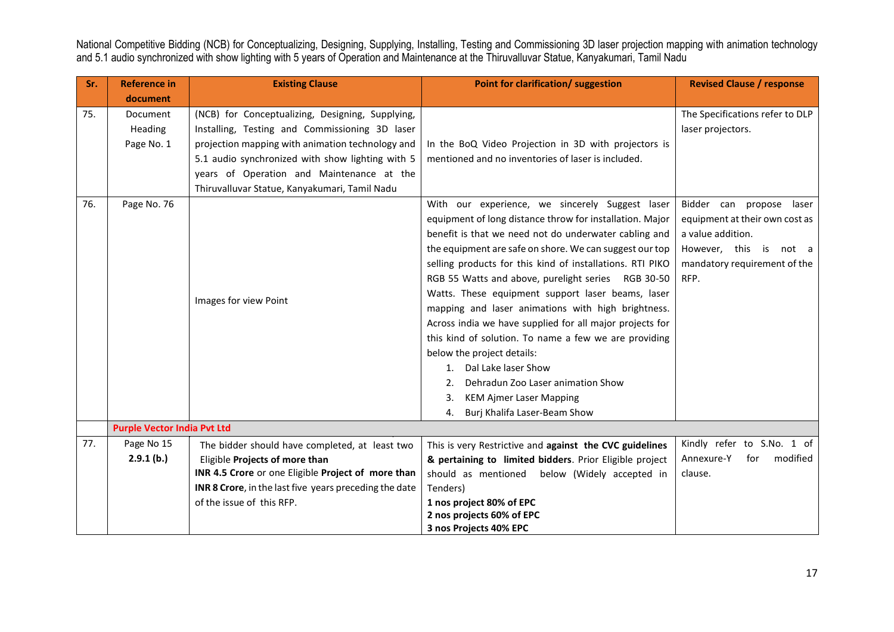| Sr.        | <b>Reference in</b>                                     | <b>Existing Clause</b>                                                                                                                                                                                                                                                                                                            | <b>Point for clarification/ suggestion</b>                                                                                                                                                                                                                                                                                                                                                                                                                                                                                                                                                                                                                                                                                                               | <b>Revised Clause / response</b>                                                                                                                                                                          |
|------------|---------------------------------------------------------|-----------------------------------------------------------------------------------------------------------------------------------------------------------------------------------------------------------------------------------------------------------------------------------------------------------------------------------|----------------------------------------------------------------------------------------------------------------------------------------------------------------------------------------------------------------------------------------------------------------------------------------------------------------------------------------------------------------------------------------------------------------------------------------------------------------------------------------------------------------------------------------------------------------------------------------------------------------------------------------------------------------------------------------------------------------------------------------------------------|-----------------------------------------------------------------------------------------------------------------------------------------------------------------------------------------------------------|
|            | document                                                |                                                                                                                                                                                                                                                                                                                                   |                                                                                                                                                                                                                                                                                                                                                                                                                                                                                                                                                                                                                                                                                                                                                          |                                                                                                                                                                                                           |
| 75.<br>76. | Document<br><b>Heading</b><br>Page No. 1<br>Page No. 76 | (NCB) for Conceptualizing, Designing, Supplying,<br>Installing, Testing and Commissioning 3D laser<br>projection mapping with animation technology and<br>5.1 audio synchronized with show lighting with 5<br>years of Operation and Maintenance at the<br>Thiruvalluvar Statue, Kanyakumari, Tamil Nadu<br>Images for view Point | In the BoQ Video Projection in 3D with projectors is<br>mentioned and no inventories of laser is included.<br>With our experience, we sincerely Suggest laser<br>equipment of long distance throw for installation. Major<br>benefit is that we need not do underwater cabling and<br>the equipment are safe on shore. We can suggest our top<br>selling products for this kind of installations. RTI PIKO<br>RGB 55 Watts and above, purelight series RGB 30-50<br>Watts. These equipment support laser beams, laser<br>mapping and laser animations with high brightness.<br>Across india we have supplied for all major projects for<br>this kind of solution. To name a few we are providing<br>below the project details:<br>1. Dal Lake laser Show | The Specifications refer to DLP<br>laser projectors.<br>Bidder can propose laser<br>equipment at their own cost as<br>a value addition.<br>However, this is not a<br>mandatory requirement of the<br>RFP. |
|            |                                                         |                                                                                                                                                                                                                                                                                                                                   | Dehradun Zoo Laser animation Show<br>$2_{1}$<br><b>KEM Ajmer Laser Mapping</b><br>3.<br>Burj Khalifa Laser-Beam Show<br>4.                                                                                                                                                                                                                                                                                                                                                                                                                                                                                                                                                                                                                               |                                                                                                                                                                                                           |
|            | <b>Purple Vector India Pvt Ltd</b>                      |                                                                                                                                                                                                                                                                                                                                   |                                                                                                                                                                                                                                                                                                                                                                                                                                                                                                                                                                                                                                                                                                                                                          |                                                                                                                                                                                                           |
| 77.        | Page No 15<br>2.9.1(b.)                                 | The bidder should have completed, at least two<br>Eligible Projects of more than<br>INR 4.5 Crore or one Eligible Project of more than<br>INR 8 Crore, in the last five years preceding the date<br>of the issue of this RFP.                                                                                                     | This is very Restrictive and against the CVC guidelines<br>& pertaining to limited bidders. Prior Eligible project<br>should as mentioned below (Widely accepted in<br>Tenders)                                                                                                                                                                                                                                                                                                                                                                                                                                                                                                                                                                          | Kindly refer to S.No. 1 of<br>modified<br>Annexure-Y<br>for<br>clause.                                                                                                                                    |
|            |                                                         |                                                                                                                                                                                                                                                                                                                                   | 1 nos project 80% of EPC<br>2 nos projects 60% of EPC<br>3 nos Projects 40% EPC                                                                                                                                                                                                                                                                                                                                                                                                                                                                                                                                                                                                                                                                          |                                                                                                                                                                                                           |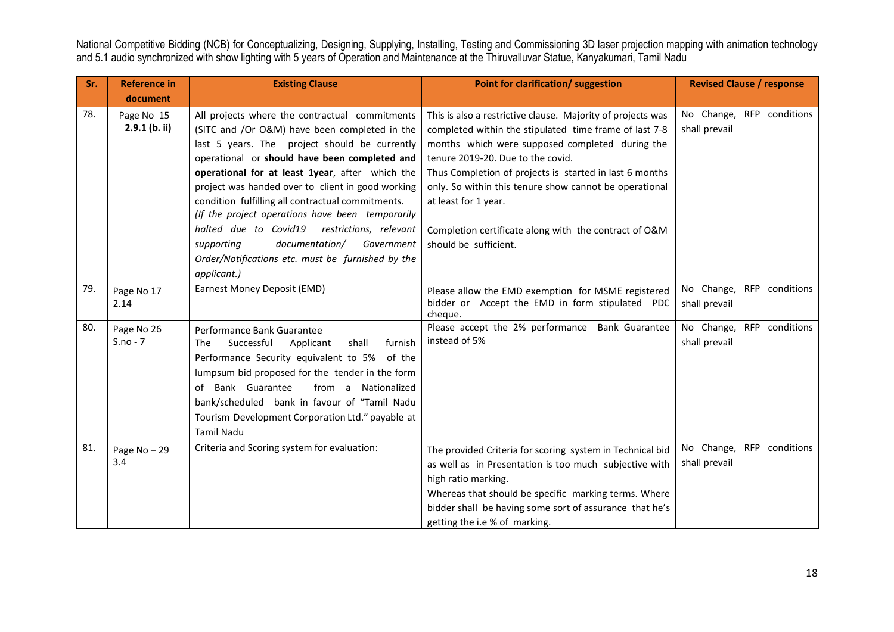| Sr.        | <b>Reference in</b>                            | <b>Existing Clause</b>                                                                                                                                                                                                                                                                                                                                                                                                                                                                                                                                                                  | Point for clarification/ suggestion                                                                                                                                                                                                                                                                                                                                                                                                          | <b>Revised Clause / response</b>                                                         |
|------------|------------------------------------------------|-----------------------------------------------------------------------------------------------------------------------------------------------------------------------------------------------------------------------------------------------------------------------------------------------------------------------------------------------------------------------------------------------------------------------------------------------------------------------------------------------------------------------------------------------------------------------------------------|----------------------------------------------------------------------------------------------------------------------------------------------------------------------------------------------------------------------------------------------------------------------------------------------------------------------------------------------------------------------------------------------------------------------------------------------|------------------------------------------------------------------------------------------|
|            | document                                       |                                                                                                                                                                                                                                                                                                                                                                                                                                                                                                                                                                                         |                                                                                                                                                                                                                                                                                                                                                                                                                                              |                                                                                          |
| 78.        | Page No 15<br>$2.9.1$ (b. ii)                  | All projects where the contractual commitments<br>(SITC and /Or O&M) have been completed in the<br>last 5 years. The project should be currently<br>operational or should have been completed and<br>operational for at least 1year, after which the<br>project was handed over to client in good working<br>condition fulfilling all contractual commitments.<br>(If the project operations have been temporarily<br>halted due to Covid19<br>restrictions, relevant<br>documentation/<br>Government<br>supporting<br>Order/Notifications etc. must be furnished by the<br>applicant.) | This is also a restrictive clause. Majority of projects was<br>completed within the stipulated time frame of last 7-8<br>months which were supposed completed during the<br>tenure 2019-20. Due to the covid.<br>Thus Completion of projects is started in last 6 months<br>only. So within this tenure show cannot be operational<br>at least for 1 year.<br>Completion certificate along with the contract of O&M<br>should be sufficient. | No Change, RFP conditions<br>shall prevail                                               |
| 79.<br>80. | Page No 17<br>2.14<br>Page No 26<br>$S.no - 7$ | Earnest Money Deposit (EMD)<br>Performance Bank Guarantee<br>Successful<br>shall<br>furnish<br>The<br>Applicant<br>Performance Security equivalent to 5% of the<br>lumpsum bid proposed for the tender in the form<br>of Bank Guarantee<br>from a Nationalized<br>bank/scheduled bank in favour of "Tamil Nadu<br>Tourism Development Corporation Ltd." payable at<br><b>Tamil Nadu</b>                                                                                                                                                                                                 | Please allow the EMD exemption for MSME registered<br>bidder or Accept the EMD in form stipulated PDC<br>cheque.<br>Please accept the 2% performance Bank Guarantee<br>instead of 5%                                                                                                                                                                                                                                                         | No Change, RFP conditions<br>shall prevail<br>No Change, RFP conditions<br>shall prevail |
| 81.        | Page $No-29$<br>3.4                            | Criteria and Scoring system for evaluation:                                                                                                                                                                                                                                                                                                                                                                                                                                                                                                                                             | The provided Criteria for scoring system in Technical bid<br>as well as in Presentation is too much subjective with<br>high ratio marking.<br>Whereas that should be specific marking terms. Where<br>bidder shall be having some sort of assurance that he's<br>getting the i.e % of marking.                                                                                                                                               | No Change, RFP conditions<br>shall prevail                                               |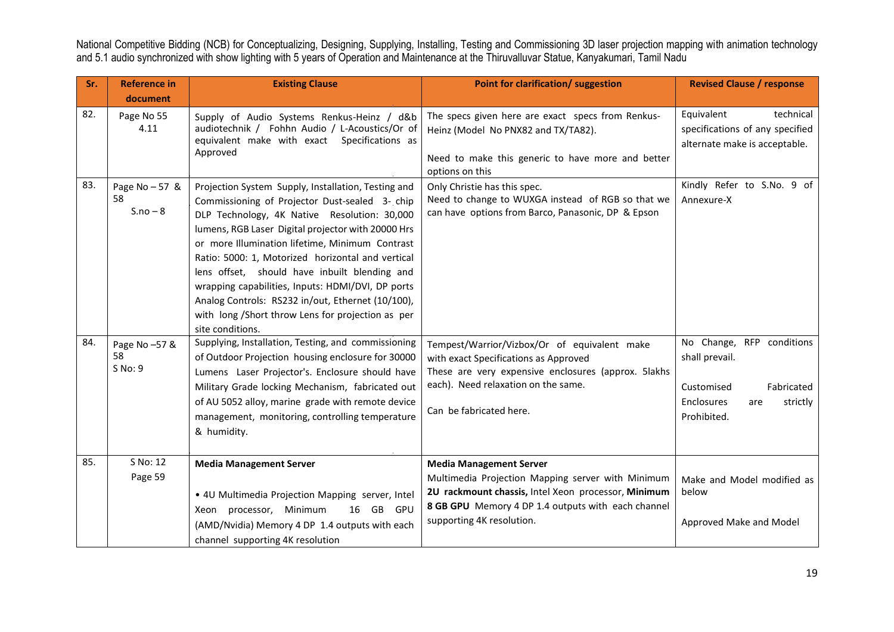| Sr. | <b>Reference in</b>                | <b>Existing Clause</b>                                                                                                                                                                                                                                                                                                                                                                                                                                                                                                                                  | <b>Point for clarification/ suggestion</b>                                                                                                                                                                                    | <b>Revised Clause / response</b>                                                                                        |
|-----|------------------------------------|---------------------------------------------------------------------------------------------------------------------------------------------------------------------------------------------------------------------------------------------------------------------------------------------------------------------------------------------------------------------------------------------------------------------------------------------------------------------------------------------------------------------------------------------------------|-------------------------------------------------------------------------------------------------------------------------------------------------------------------------------------------------------------------------------|-------------------------------------------------------------------------------------------------------------------------|
|     | document                           |                                                                                                                                                                                                                                                                                                                                                                                                                                                                                                                                                         |                                                                                                                                                                                                                               |                                                                                                                         |
| 82. | Page No 55<br>4.11                 | Supply of Audio Systems Renkus-Heinz / d&b<br>audiotechnik / Fohhn Audio / L-Acoustics/Or of<br>equivalent make with exact Specifications as<br>Approved                                                                                                                                                                                                                                                                                                                                                                                                | The specs given here are exact specs from Renkus-<br>Heinz (Model No PNX82 and TX/TA82).<br>Need to make this generic to have more and better<br>options on this                                                              | Equivalent<br>technical<br>specifications of any specified<br>alternate make is acceptable.                             |
| 83. | Page No - 57 &<br>58<br>$S.no - 8$ | Projection System Supply, Installation, Testing and<br>Commissioning of Projector Dust-sealed 3- chip<br>DLP Technology, 4K Native Resolution: 30,000<br>lumens, RGB Laser Digital projector with 20000 Hrs<br>or more Illumination lifetime, Minimum Contrast<br>Ratio: 5000: 1, Motorized horizontal and vertical<br>lens offset, should have inbuilt blending and<br>wrapping capabilities, Inputs: HDMI/DVI, DP ports<br>Analog Controls: RS232 in/out, Ethernet (10/100),<br>with long /Short throw Lens for projection as per<br>site conditions. | Only Christie has this spec.<br>Need to change to WUXGA instead of RGB so that we<br>can have options from Barco, Panasonic, DP & Epson                                                                                       | Kindly Refer to S.No. 9 of<br>Annexure-X                                                                                |
| 84. | Page No -57 &<br>58<br>S No: 9     | Supplying, Installation, Testing, and commissioning<br>of Outdoor Projection housing enclosure for 30000<br>Lumens Laser Projector's. Enclosure should have<br>Military Grade locking Mechanism, fabricated out<br>of AU 5052 alloy, marine grade with remote device<br>management, monitoring, controlling temperature<br>& humidity.                                                                                                                                                                                                                  | Tempest/Warrior/Vizbox/Or of equivalent make<br>with exact Specifications as Approved<br>These are very expensive enclosures (approx. 5lakhs<br>each). Need relaxation on the same.<br>Can be fabricated here.                | No Change, RFP conditions<br>shall prevail.<br>Fabricated<br>Customised<br>Enclosures<br>strictly<br>are<br>Prohibited. |
| 85. | S No: 12<br>Page 59                | <b>Media Management Server</b><br>• 4U Multimedia Projection Mapping server, Intel<br>Xeon processor, Minimum<br>16 GB GPU<br>(AMD/Nvidia) Memory 4 DP 1.4 outputs with each<br>channel supporting 4K resolution                                                                                                                                                                                                                                                                                                                                        | <b>Media Management Server</b><br>Multimedia Projection Mapping server with Minimum<br>2U rackmount chassis, Intel Xeon processor, Minimum<br>8 GB GPU Memory 4 DP 1.4 outputs with each channel<br>supporting 4K resolution. | Make and Model modified as<br>below<br>Approved Make and Model                                                          |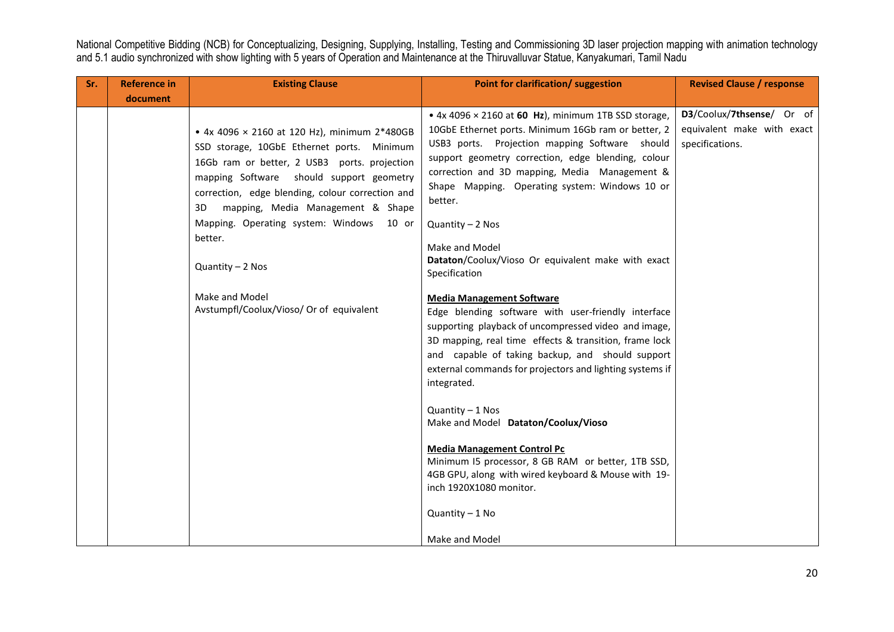| Sr. | <b>Reference in</b> | <b>Existing Clause</b>                                                                                                                                                                                                                                                                                                                                                                                                           | Point for clarification/ suggestion                                                                                                                                                                                                                                                                                                                                                                                                                                                                                                                                                                                                                                                                                                                                                                                                                                                                                                                                                                                                                                       | <b>Revised Clause / response</b>                                           |
|-----|---------------------|----------------------------------------------------------------------------------------------------------------------------------------------------------------------------------------------------------------------------------------------------------------------------------------------------------------------------------------------------------------------------------------------------------------------------------|---------------------------------------------------------------------------------------------------------------------------------------------------------------------------------------------------------------------------------------------------------------------------------------------------------------------------------------------------------------------------------------------------------------------------------------------------------------------------------------------------------------------------------------------------------------------------------------------------------------------------------------------------------------------------------------------------------------------------------------------------------------------------------------------------------------------------------------------------------------------------------------------------------------------------------------------------------------------------------------------------------------------------------------------------------------------------|----------------------------------------------------------------------------|
|     | document            |                                                                                                                                                                                                                                                                                                                                                                                                                                  |                                                                                                                                                                                                                                                                                                                                                                                                                                                                                                                                                                                                                                                                                                                                                                                                                                                                                                                                                                                                                                                                           |                                                                            |
|     |                     | • 4x 4096 × 2160 at 120 Hz), minimum 2*480GB<br>SSD storage, 10GbE Ethernet ports. Minimum<br>16Gb ram or better, 2 USB3 ports. projection<br>mapping Software should support geometry<br>correction, edge blending, colour correction and<br>mapping, Media Management & Shape<br>3D<br>Mapping. Operating system: Windows 10 or<br>better.<br>$Quantity - 2$ Nos<br>Make and Model<br>Avstumpfl/Coolux/Vioso/ Or of equivalent | $\bullet$ 4x 4096 $\times$ 2160 at 60 Hz), minimum 1TB SSD storage,<br>10GbE Ethernet ports. Minimum 16Gb ram or better, 2<br>USB3 ports. Projection mapping Software should<br>support geometry correction, edge blending, colour<br>correction and 3D mapping, Media Management &<br>Shape Mapping. Operating system: Windows 10 or<br>better.<br>$Quantity - 2$ Nos<br>Make and Model<br>Dataton/Coolux/Vioso Or equivalent make with exact<br>Specification<br><b>Media Management Software</b><br>Edge blending software with user-friendly interface<br>supporting playback of uncompressed video and image,<br>3D mapping, real time effects & transition, frame lock<br>and capable of taking backup, and should support<br>external commands for projectors and lighting systems if<br>integrated.<br>$Quantity - 1$ Nos<br>Make and Model Dataton/Coolux/Vioso<br><b>Media Management Control Pc</b><br>Minimum I5 processor, 8 GB RAM or better, 1TB SSD,<br>4GB GPU, along with wired keyboard & Mouse with 19-<br>inch 1920X1080 monitor.<br>Quantity - 1 No | D3/Coolux/7thsense/ Or of<br>equivalent make with exact<br>specifications. |
|     |                     |                                                                                                                                                                                                                                                                                                                                                                                                                                  | Make and Model                                                                                                                                                                                                                                                                                                                                                                                                                                                                                                                                                                                                                                                                                                                                                                                                                                                                                                                                                                                                                                                            |                                                                            |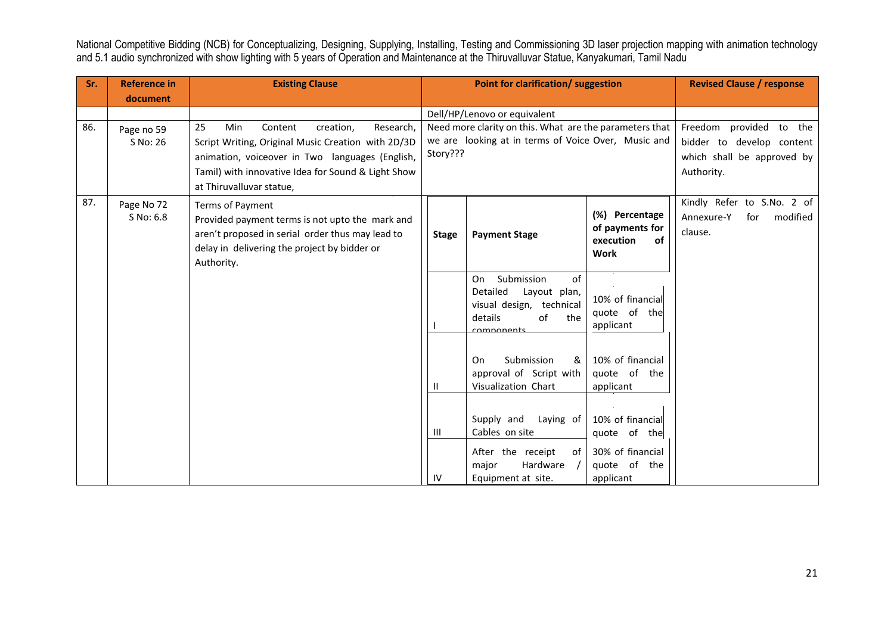| Sr. | <b>Reference in</b> | <b>Existing Clause</b>                                                         |              | Point for clarification/ suggestion                     |                                    | <b>Revised Clause / response</b> |
|-----|---------------------|--------------------------------------------------------------------------------|--------------|---------------------------------------------------------|------------------------------------|----------------------------------|
|     | document            |                                                                                |              |                                                         |                                    |                                  |
|     |                     |                                                                                |              | Dell/HP/Lenovo or equivalent                            |                                    |                                  |
| 86. | Page no 59          | 25<br>Min<br>Research,<br>Content<br>creation,                                 |              | Need more clarity on this. What are the parameters that |                                    | Freedom provided to the          |
|     | S No: 26            | Script Writing, Original Music Creation with 2D/3D                             | Story???     | we are looking at in terms of Voice Over, Music and     |                                    | bidder to develop content        |
|     |                     | animation, voiceover in Two languages (English,                                |              |                                                         |                                    | which shall be approved by       |
|     |                     | Tamil) with innovative Idea for Sound & Light Show<br>at Thiruvalluvar statue, |              |                                                         |                                    | Authority.                       |
| 87. | Page No 72          | Terms of Payment                                                               |              |                                                         |                                    | Kindly Refer to S.No. 2 of       |
|     | S No: 6.8           | Provided payment terms is not upto the mark and                                |              |                                                         | (%) Percentage                     | Annexure-Y<br>modified<br>for    |
|     |                     | aren't proposed in serial order thus may lead to                               | <b>Stage</b> | <b>Payment Stage</b>                                    | of payments for<br>of<br>execution | clause.                          |
|     |                     | delay in delivering the project by bidder or                                   |              |                                                         | <b>Work</b>                        |                                  |
|     |                     | Authority.                                                                     |              |                                                         |                                    |                                  |
|     |                     |                                                                                |              | Submission<br>of<br>On<br>Detailed<br>Layout plan,      |                                    |                                  |
|     |                     |                                                                                |              | visual design, technical                                | 10% of financial                   |                                  |
|     |                     |                                                                                |              | details<br>of<br>the                                    | quote of the<br>applicant          |                                  |
|     |                     |                                                                                |              | comnonants                                              |                                    |                                  |
|     |                     |                                                                                |              | Submission<br>&<br>On                                   | 10% of financial                   |                                  |
|     |                     |                                                                                |              | approval of Script with                                 | quote of the                       |                                  |
|     |                     |                                                                                | Ш            | Visualization Chart                                     | applicant                          |                                  |
|     |                     |                                                                                |              |                                                         |                                    |                                  |
|     |                     |                                                                                |              | Supply and<br>Laying of                                 | 10% of financial                   |                                  |
|     |                     |                                                                                | Ш            | Cables on site                                          | quote of the                       |                                  |
|     |                     |                                                                                |              | After the receipt<br>of                                 | 30% of financial                   |                                  |
|     |                     |                                                                                |              | Hardware<br>major                                       | quote of the                       |                                  |
|     |                     |                                                                                | IV           | Equipment at site.                                      | applicant                          |                                  |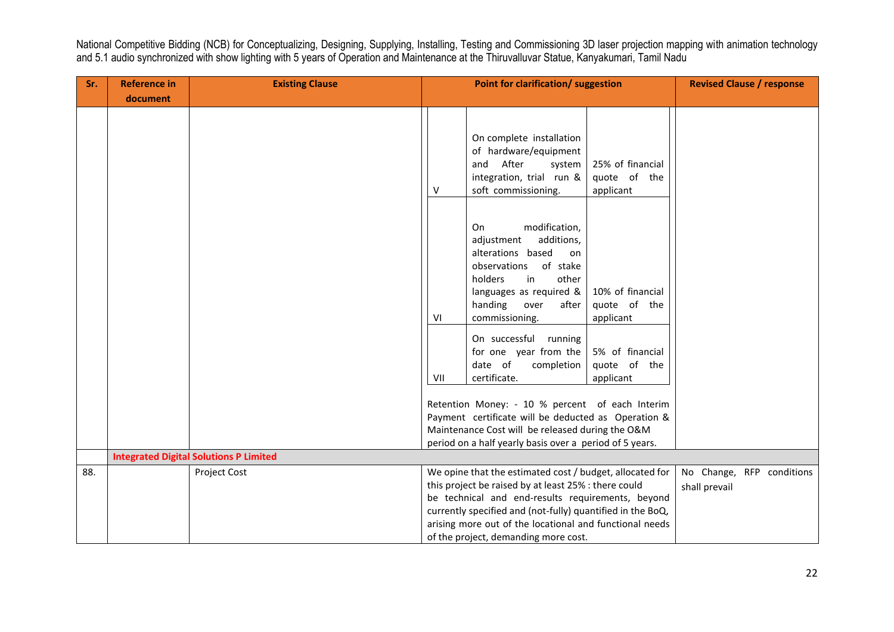| Sr. | <b>Reference in</b> | <b>Existing Clause</b>                        | <b>Point for clarification/ suggestion</b>                                                                                                                                                                                                                                                                                             |                                                                                                                                                                                                                                                          |                                                                  |               | <b>Revised Clause / response</b> |
|-----|---------------------|-----------------------------------------------|----------------------------------------------------------------------------------------------------------------------------------------------------------------------------------------------------------------------------------------------------------------------------------------------------------------------------------------|----------------------------------------------------------------------------------------------------------------------------------------------------------------------------------------------------------------------------------------------------------|------------------------------------------------------------------|---------------|----------------------------------|
|     | document            |                                               |                                                                                                                                                                                                                                                                                                                                        |                                                                                                                                                                                                                                                          |                                                                  |               |                                  |
|     |                     |                                               | v                                                                                                                                                                                                                                                                                                                                      | On complete installation<br>of hardware/equipment<br>and After<br>system<br>integration, trial run &<br>soft commissioning.                                                                                                                              | 25% of financial<br>quote of the<br>applicant                    |               |                                  |
|     |                     |                                               | VI                                                                                                                                                                                                                                                                                                                                     | modification,<br>On<br>additions,<br>adjustment<br>alterations based<br>on<br>observations of stake<br>holders<br>other<br>in<br>languages as required &<br>handing<br>after<br>over<br>commissioning.<br>On successful running<br>for one year from the | 10% of financial<br>quote of the<br>applicant<br>5% of financial |               |                                  |
|     |                     |                                               | VII                                                                                                                                                                                                                                                                                                                                    | date of<br>completion<br>certificate.                                                                                                                                                                                                                    | quote of the<br>applicant                                        |               |                                  |
|     |                     |                                               |                                                                                                                                                                                                                                                                                                                                        | Retention Money: - 10 % percent of each Interim<br>Payment certificate will be deducted as Operation &<br>Maintenance Cost will be released during the O&M<br>period on a half yearly basis over a period of 5 years.                                    |                                                                  |               |                                  |
|     |                     | <b>Integrated Digital Solutions P Limited</b> |                                                                                                                                                                                                                                                                                                                                        |                                                                                                                                                                                                                                                          |                                                                  |               |                                  |
| 88. |                     | <b>Project Cost</b>                           | We opine that the estimated cost / budget, allocated for<br>this project be raised by at least 25% : there could<br>be technical and end-results requirements, beyond<br>currently specified and (not-fully) quantified in the BoQ,<br>arising more out of the locational and functional needs<br>of the project, demanding more cost. |                                                                                                                                                                                                                                                          |                                                                  | shall prevail | No Change, RFP conditions        |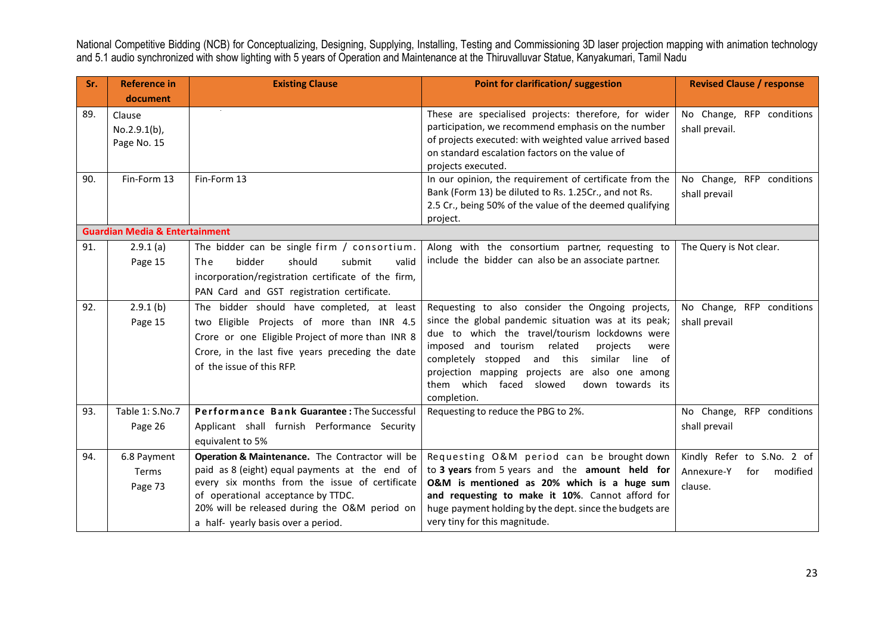| Sr. | <b>Reference in</b>                       | <b>Existing Clause</b>                                                                                                                                                                                                                                                           | Point for clarification/ suggestion                                                                                                                                                                                                                                                                                                                                                    | <b>Revised Clause / response</b>                                       |
|-----|-------------------------------------------|----------------------------------------------------------------------------------------------------------------------------------------------------------------------------------------------------------------------------------------------------------------------------------|----------------------------------------------------------------------------------------------------------------------------------------------------------------------------------------------------------------------------------------------------------------------------------------------------------------------------------------------------------------------------------------|------------------------------------------------------------------------|
|     | document                                  |                                                                                                                                                                                                                                                                                  |                                                                                                                                                                                                                                                                                                                                                                                        |                                                                        |
| 89. | Clause<br>$No.2.9.1(b)$ ,<br>Page No. 15  |                                                                                                                                                                                                                                                                                  | These are specialised projects: therefore, for wider<br>participation, we recommend emphasis on the number<br>of projects executed: with weighted value arrived based<br>on standard escalation factors on the value of<br>projects executed.                                                                                                                                          | No Change, RFP conditions<br>shall prevail.                            |
| 90. | Fin-Form 13                               | Fin-Form 13                                                                                                                                                                                                                                                                      | In our opinion, the requirement of certificate from the<br>Bank (Form 13) be diluted to Rs. 1.25Cr., and not Rs.<br>2.5 Cr., being 50% of the value of the deemed qualifying<br>project.                                                                                                                                                                                               | No Change, RFP conditions<br>shall prevail                             |
|     | <b>Guardian Media &amp; Entertainment</b> |                                                                                                                                                                                                                                                                                  |                                                                                                                                                                                                                                                                                                                                                                                        |                                                                        |
| 91. | 2.9.1(a)<br>Page 15                       | The bidder can be single firm / consortium.<br>bidder<br>The<br>should<br>submit<br>valid<br>incorporation/registration certificate of the firm,<br>PAN Card and GST registration certificate.                                                                                   | Along with the consortium partner, requesting to<br>include the bidder can also be an associate partner.                                                                                                                                                                                                                                                                               | The Query is Not clear.                                                |
| 92. | 2.9.1(b)<br>Page 15                       | The bidder should have completed, at least<br>two Eligible Projects of more than INR 4.5<br>Crore or one Eligible Project of more than INR 8<br>Crore, in the last five years preceding the date<br>of the issue of this RFP.                                                    | Requesting to also consider the Ongoing projects,<br>since the global pandemic situation was at its peak;<br>due to which the travel/tourism lockdowns were<br>imposed and tourism<br>related<br>projects<br>were<br>and this<br>completely stopped<br>similar line of<br>projection mapping projects are also one among<br>them which faced slowed<br>down towards its<br>completion. | No Change, RFP conditions<br>shall prevail                             |
| 93. | Table 1: S.No.7<br>Page 26                | Performance Bank Guarantee: The Successful<br>Applicant shall furnish Performance Security<br>equivalent to 5%                                                                                                                                                                   | Requesting to reduce the PBG to 2%.                                                                                                                                                                                                                                                                                                                                                    | No Change, RFP conditions<br>shall prevail                             |
| 94. | 6.8 Payment<br>Terms<br>Page 73           | Operation & Maintenance. The Contractor will be<br>paid as 8 (eight) equal payments at the end of<br>every six months from the issue of certificate<br>of operational acceptance by TTDC.<br>20% will be released during the O&M period on<br>a half-yearly basis over a period. | Requesting O&M period can be brought down<br>to 3 years from 5 years and the amount held for<br>O&M is mentioned as 20% which is a huge sum<br>and requesting to make it 10%. Cannot afford for<br>huge payment holding by the dept. since the budgets are<br>very tiny for this magnitude.                                                                                            | Kindly Refer to S.No. 2 of<br>Annexure-Y<br>modified<br>for<br>clause. |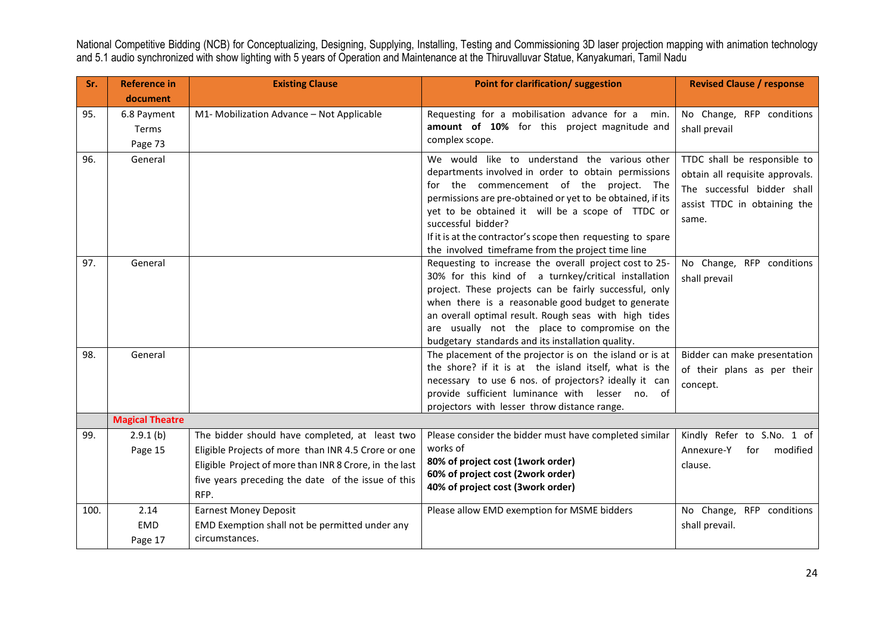| Sr.        | <b>Reference in</b>           | <b>Existing Clause</b>                                                                                                                                                                                                        | Point for clarification/ suggestion                                                                                                                                                                                                                                                                                                                                                                                                                                                                                                                                                                                                                                             | <b>Revised Clause / response</b>                                                                                                        |
|------------|-------------------------------|-------------------------------------------------------------------------------------------------------------------------------------------------------------------------------------------------------------------------------|---------------------------------------------------------------------------------------------------------------------------------------------------------------------------------------------------------------------------------------------------------------------------------------------------------------------------------------------------------------------------------------------------------------------------------------------------------------------------------------------------------------------------------------------------------------------------------------------------------------------------------------------------------------------------------|-----------------------------------------------------------------------------------------------------------------------------------------|
|            | document                      |                                                                                                                                                                                                                               |                                                                                                                                                                                                                                                                                                                                                                                                                                                                                                                                                                                                                                                                                 |                                                                                                                                         |
| 95.        | 6.8 Payment                   | M1- Mobilization Advance - Not Applicable                                                                                                                                                                                     | Requesting for a mobilisation advance for a<br>min.                                                                                                                                                                                                                                                                                                                                                                                                                                                                                                                                                                                                                             | No Change, RFP conditions                                                                                                               |
|            | Terms                         |                                                                                                                                                                                                                               | amount of 10% for this project magnitude and<br>complex scope.                                                                                                                                                                                                                                                                                                                                                                                                                                                                                                                                                                                                                  | shall prevail                                                                                                                           |
|            | Page 73                       |                                                                                                                                                                                                                               |                                                                                                                                                                                                                                                                                                                                                                                                                                                                                                                                                                                                                                                                                 |                                                                                                                                         |
| 96.        | General                       |                                                                                                                                                                                                                               | We would like to understand the various other<br>departments involved in order to obtain permissions<br>for the commencement of the project. The<br>permissions are pre-obtained or yet to be obtained, if its<br>yet to be obtained it will be a scope of TTDC or<br>successful bidder?<br>If it is at the contractor's scope then requesting to spare                                                                                                                                                                                                                                                                                                                         | TTDC shall be responsible to<br>obtain all requisite approvals.<br>The successful bidder shall<br>assist TTDC in obtaining the<br>same. |
|            |                               |                                                                                                                                                                                                                               | the involved timeframe from the project time line                                                                                                                                                                                                                                                                                                                                                                                                                                                                                                                                                                                                                               |                                                                                                                                         |
| 97.<br>98. | General<br>General            |                                                                                                                                                                                                                               | Requesting to increase the overall project cost to 25-<br>30% for this kind of a turnkey/critical installation<br>project. These projects can be fairly successful, only<br>when there is a reasonable good budget to generate<br>an overall optimal result. Rough seas with high tides<br>are usually not the place to compromise on the<br>budgetary standards and its installation quality.<br>The placement of the projector is on the island or is at<br>the shore? if it is at the island itself, what is the<br>necessary to use 6 nos. of projectors? ideally it can<br>provide sufficient luminance with lesser no. of<br>projectors with lesser throw distance range. | No Change, RFP conditions<br>shall prevail<br>Bidder can make presentation<br>of their plans as per their<br>concept.                   |
|            | <b>Magical Theatre</b>        |                                                                                                                                                                                                                               |                                                                                                                                                                                                                                                                                                                                                                                                                                                                                                                                                                                                                                                                                 |                                                                                                                                         |
| 99.        | 2.9.1(b)<br>Page 15           | The bidder should have completed, at least two<br>Eligible Projects of more than INR 4.5 Crore or one<br>Eligible Project of more than INR 8 Crore, in the last<br>five years preceding the date of the issue of this<br>RFP. | Please consider the bidder must have completed similar<br>works of<br>80% of project cost (1work order)<br>60% of project cost (2work order)<br>40% of project cost (3work order)                                                                                                                                                                                                                                                                                                                                                                                                                                                                                               | Kindly Refer to S.No. 1 of<br>Annexure-Y<br>modified<br>for<br>clause.                                                                  |
| 100.       | 2.14<br><b>EMD</b><br>Page 17 | <b>Earnest Money Deposit</b><br>EMD Exemption shall not be permitted under any<br>circumstances.                                                                                                                              | Please allow EMD exemption for MSME bidders                                                                                                                                                                                                                                                                                                                                                                                                                                                                                                                                                                                                                                     | No Change, RFP conditions<br>shall prevail.                                                                                             |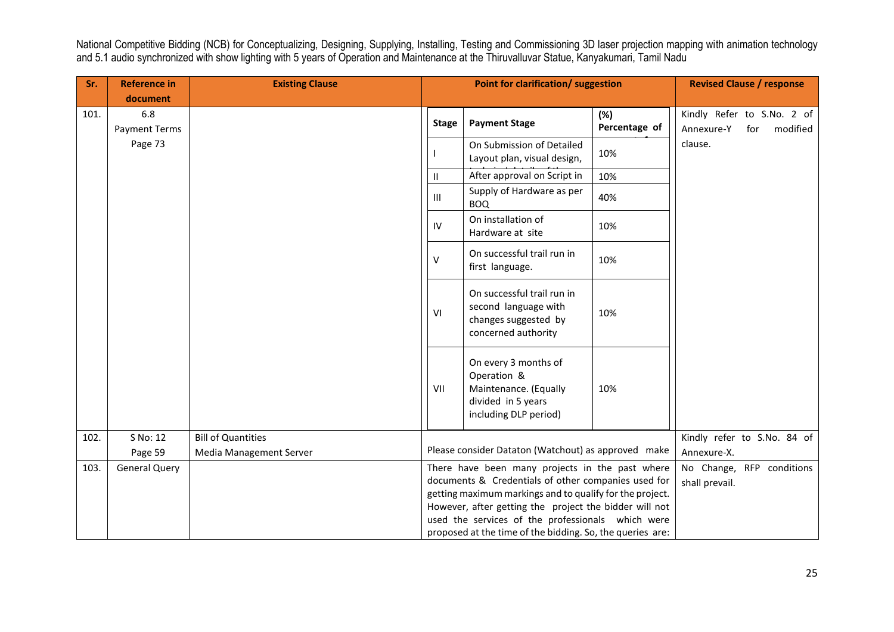| Sr.  | <b>Reference in</b>         | <b>Existing Clause</b>    | <b>Point for clarification/ suggestion</b> |                                                                                                                                                                                                                                                                                                                                                |                                             | <b>Revised Clause / response</b>                            |
|------|-----------------------------|---------------------------|--------------------------------------------|------------------------------------------------------------------------------------------------------------------------------------------------------------------------------------------------------------------------------------------------------------------------------------------------------------------------------------------------|---------------------------------------------|-------------------------------------------------------------|
|      | document                    |                           |                                            |                                                                                                                                                                                                                                                                                                                                                |                                             |                                                             |
| 101. | 6.8<br><b>Payment Terms</b> |                           | <b>Stage</b>                               | <b>Payment Stage</b>                                                                                                                                                                                                                                                                                                                           | (%)<br>Percentage of                        | Kindly Refer to S.No. 2 of<br>Annexure-Y<br>modified<br>for |
|      | Page 73                     |                           |                                            | On Submission of Detailed<br>Layout plan, visual design,                                                                                                                                                                                                                                                                                       | 10%                                         | clause.                                                     |
|      |                             |                           | $\mathbf{H}$                               | After approval on Script in                                                                                                                                                                                                                                                                                                                    | 10%                                         |                                                             |
|      |                             |                           | $\mathbf{III}$                             | Supply of Hardware as per<br><b>BOQ</b>                                                                                                                                                                                                                                                                                                        | 40%                                         |                                                             |
|      |                             |                           | IV                                         | On installation of<br>Hardware at site                                                                                                                                                                                                                                                                                                         | 10%                                         |                                                             |
|      |                             |                           | V                                          | On successful trail run in<br>first language.                                                                                                                                                                                                                                                                                                  | 10%                                         |                                                             |
|      |                             |                           | VI                                         | On successful trail run in<br>second language with<br>10%<br>changes suggested by<br>concerned authority                                                                                                                                                                                                                                       |                                             |                                                             |
|      |                             |                           | VII                                        | On every 3 months of<br>Operation &<br>Maintenance. (Equally<br>divided in 5 years<br>including DLP period)                                                                                                                                                                                                                                    | 10%                                         |                                                             |
| 102. | S No: 12                    | <b>Bill of Quantities</b> |                                            |                                                                                                                                                                                                                                                                                                                                                |                                             | Kindly refer to S.No. 84 of                                 |
|      | Page 59                     | Media Management Server   |                                            | Please consider Dataton (Watchout) as approved make                                                                                                                                                                                                                                                                                            | Annexure-X.                                 |                                                             |
| 103. | <b>General Query</b>        |                           |                                            | There have been many projects in the past where<br>documents & Credentials of other companies used for<br>getting maximum markings and to qualify for the project.<br>However, after getting the project the bidder will not<br>used the services of the professionals which were<br>proposed at the time of the bidding. So, the queries are: | No Change, RFP conditions<br>shall prevail. |                                                             |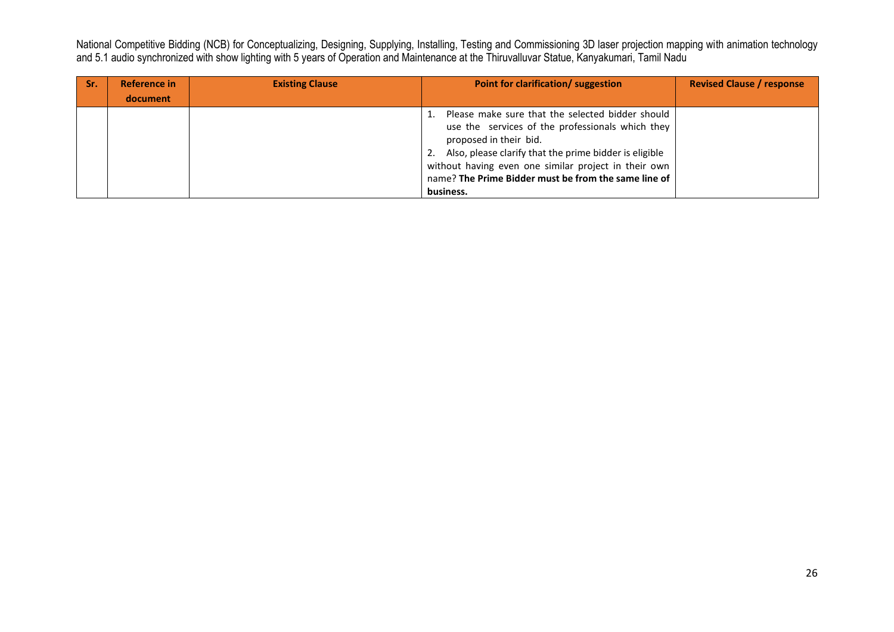| -Sr. | Reference in | <b>Existing Clause</b> | Point for clarification/ suggestion                                                                                                                                                                                                                                                                            | <b>Revised Clause / response</b> |
|------|--------------|------------------------|----------------------------------------------------------------------------------------------------------------------------------------------------------------------------------------------------------------------------------------------------------------------------------------------------------------|----------------------------------|
|      | document     |                        |                                                                                                                                                                                                                                                                                                                |                                  |
|      |              |                        | 1. Please make sure that the selected bidder should<br>use the services of the professionals which they<br>proposed in their bid.<br>2. Also, please clarify that the prime bidder is eligible<br>without having even one similar project in their own<br>name? The Prime Bidder must be from the same line of |                                  |
|      |              |                        | business.                                                                                                                                                                                                                                                                                                      |                                  |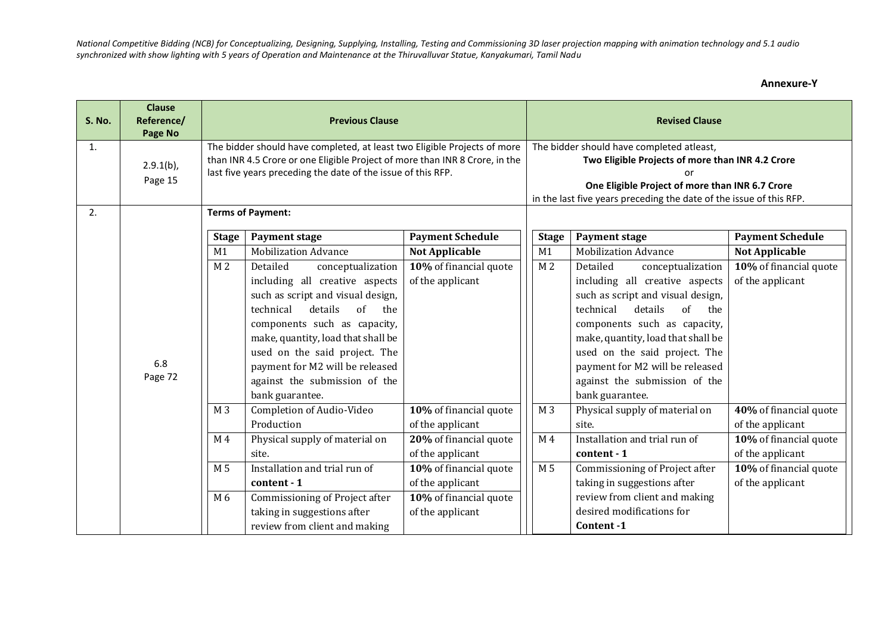**Annexure-Y**

| <b>S. No.</b> | <b>Clause</b><br>Reference/<br>Page No | <b>Previous Clause</b>                                                                                                                                                                                                  |                                                                                                                                                                                                                                                                                                                                         |                                                                                                                                                                                                                         | <b>Revised Clause</b> |                                                                                                                                                                                                                                                                                                                                         |                                            |
|---------------|----------------------------------------|-------------------------------------------------------------------------------------------------------------------------------------------------------------------------------------------------------------------------|-----------------------------------------------------------------------------------------------------------------------------------------------------------------------------------------------------------------------------------------------------------------------------------------------------------------------------------------|-------------------------------------------------------------------------------------------------------------------------------------------------------------------------------------------------------------------------|-----------------------|-----------------------------------------------------------------------------------------------------------------------------------------------------------------------------------------------------------------------------------------------------------------------------------------------------------------------------------------|--------------------------------------------|
| 1.            | $2.9.1(b)$ ,<br>Page 15                | The bidder should have completed, at least two Eligible Projects of more<br>than INR 4.5 Crore or one Eligible Project of more than INR 8 Crore, in the<br>last five years preceding the date of the issue of this RFP. |                                                                                                                                                                                                                                                                                                                                         | The bidder should have completed atleast,<br>Two Eligible Projects of more than INR 4.2 Crore<br>One Eligible Project of more than INR 6.7 Crore<br>in the last five years preceding the date of the issue of this RFP. |                       |                                                                                                                                                                                                                                                                                                                                         |                                            |
| 2.            |                                        | <b>Terms of Payment:</b>                                                                                                                                                                                                |                                                                                                                                                                                                                                                                                                                                         |                                                                                                                                                                                                                         |                       |                                                                                                                                                                                                                                                                                                                                         |                                            |
|               |                                        | <b>Stage</b>                                                                                                                                                                                                            | <b>Payment stage</b>                                                                                                                                                                                                                                                                                                                    | <b>Payment Schedule</b>                                                                                                                                                                                                 | <b>Stage</b>          | <b>Payment stage</b>                                                                                                                                                                                                                                                                                                                    | <b>Payment Schedule</b>                    |
|               |                                        | M1                                                                                                                                                                                                                      | <b>Mobilization Advance</b>                                                                                                                                                                                                                                                                                                             | <b>Not Applicable</b>                                                                                                                                                                                                   | M1                    | <b>Mobilization Advance</b>                                                                                                                                                                                                                                                                                                             | <b>Not Applicable</b>                      |
|               | 6.8<br>Page 72                         | M <sub>2</sub>                                                                                                                                                                                                          | Detailed<br>conceptualization<br>including all creative aspects<br>such as script and visual design,<br>details<br>of<br>technical<br>the<br>components such as capacity,<br>make, quantity, load that shall be<br>used on the said project. The<br>payment for M2 will be released<br>against the submission of the<br>bank guarantee. | 10% of financial quote<br>of the applicant                                                                                                                                                                              | M <sub>2</sub>        | Detailed<br>conceptualization<br>including all creative aspects<br>such as script and visual design,<br>details<br>technical<br>of<br>the<br>components such as capacity,<br>make, quantity, load that shall be<br>used on the said project. The<br>payment for M2 will be released<br>against the submission of the<br>bank guarantee. | 10% of financial quote<br>of the applicant |
|               |                                        | M <sub>3</sub>                                                                                                                                                                                                          | Completion of Audio-Video<br>Production                                                                                                                                                                                                                                                                                                 | 10% of financial quote<br>of the applicant                                                                                                                                                                              | M <sub>3</sub>        | Physical supply of material on<br>site.                                                                                                                                                                                                                                                                                                 | 40% of financial quote<br>of the applicant |
|               |                                        | M <sub>4</sub>                                                                                                                                                                                                          | Physical supply of material on                                                                                                                                                                                                                                                                                                          | 20% of financial quote                                                                                                                                                                                                  | M <sub>4</sub>        | Installation and trial run of                                                                                                                                                                                                                                                                                                           | 10% of financial quote                     |
|               |                                        |                                                                                                                                                                                                                         | site.                                                                                                                                                                                                                                                                                                                                   | of the applicant                                                                                                                                                                                                        |                       | content - 1                                                                                                                                                                                                                                                                                                                             | of the applicant                           |
|               |                                        | M 5                                                                                                                                                                                                                     | Installation and trial run of<br>content - 1                                                                                                                                                                                                                                                                                            | 10% of financial quote<br>of the applicant                                                                                                                                                                              | M 5                   | Commissioning of Project after<br>taking in suggestions after                                                                                                                                                                                                                                                                           | 10% of financial quote<br>of the applicant |
|               |                                        | M 6                                                                                                                                                                                                                     | Commissioning of Project after                                                                                                                                                                                                                                                                                                          | 10% of financial quote                                                                                                                                                                                                  |                       | review from client and making                                                                                                                                                                                                                                                                                                           |                                            |
|               |                                        |                                                                                                                                                                                                                         | taking in suggestions after                                                                                                                                                                                                                                                                                                             | of the applicant                                                                                                                                                                                                        |                       | desired modifications for                                                                                                                                                                                                                                                                                                               |                                            |
|               |                                        |                                                                                                                                                                                                                         | review from client and making                                                                                                                                                                                                                                                                                                           |                                                                                                                                                                                                                         |                       | Content -1                                                                                                                                                                                                                                                                                                                              |                                            |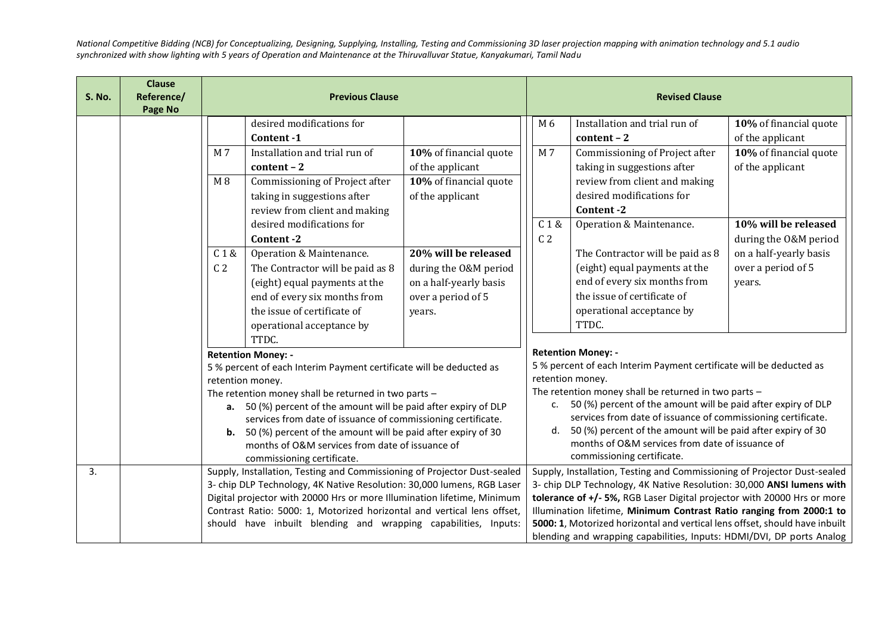|               | <b>Clause</b> |                                                                         |                                                                                                                           |                                                                             |                                                                                                                                     |                                                      |                                                              |                        |  |
|---------------|---------------|-------------------------------------------------------------------------|---------------------------------------------------------------------------------------------------------------------------|-----------------------------------------------------------------------------|-------------------------------------------------------------------------------------------------------------------------------------|------------------------------------------------------|--------------------------------------------------------------|------------------------|--|
| <b>S. No.</b> | Reference/    | <b>Previous Clause</b>                                                  |                                                                                                                           |                                                                             |                                                                                                                                     |                                                      | <b>Revised Clause</b>                                        |                        |  |
|               | Page No       |                                                                         |                                                                                                                           |                                                                             |                                                                                                                                     |                                                      |                                                              |                        |  |
|               |               |                                                                         | desired modifications for                                                                                                 |                                                                             |                                                                                                                                     | M 6                                                  | Installation and trial run of                                | 10% of financial quote |  |
|               |               |                                                                         | Content-1                                                                                                                 |                                                                             |                                                                                                                                     |                                                      | $content - 2$                                                | of the applicant       |  |
|               |               | M 7                                                                     | Installation and trial run of                                                                                             | $\overline{10}$ % of financial quote                                        |                                                                                                                                     | M7                                                   | Commissioning of Project after                               | 10% of financial quote |  |
|               |               |                                                                         | $content - 2$                                                                                                             | of the applicant                                                            |                                                                                                                                     |                                                      | taking in suggestions after                                  | of the applicant       |  |
|               |               | M8                                                                      | Commissioning of Project after                                                                                            | 10% of financial quote                                                      |                                                                                                                                     |                                                      | review from client and making                                |                        |  |
|               |               |                                                                         | taking in suggestions after                                                                                               | of the applicant                                                            |                                                                                                                                     |                                                      | desired modifications for                                    |                        |  |
|               |               |                                                                         | review from client and making                                                                                             |                                                                             |                                                                                                                                     |                                                      | Content-2                                                    |                        |  |
|               |               |                                                                         | desired modifications for                                                                                                 |                                                                             |                                                                                                                                     | C1&                                                  | Operation & Maintenance.                                     | 10% will be released   |  |
|               |               |                                                                         | Content-2                                                                                                                 |                                                                             |                                                                                                                                     | C <sub>2</sub>                                       |                                                              | during the O&M period  |  |
|               |               | C1&                                                                     | Operation & Maintenance.                                                                                                  | 20% will be released                                                        |                                                                                                                                     |                                                      | The Contractor will be paid as 8                             | on a half-yearly basis |  |
|               |               | C <sub>2</sub>                                                          | The Contractor will be paid as 8                                                                                          | during the O&M period                                                       |                                                                                                                                     |                                                      | (eight) equal payments at the                                | over a period of 5     |  |
|               |               |                                                                         | (eight) equal payments at the                                                                                             | on a half-yearly basis                                                      |                                                                                                                                     |                                                      | end of every six months from                                 | years.                 |  |
|               |               |                                                                         | end of every six months from                                                                                              | over a period of 5                                                          |                                                                                                                                     |                                                      | the issue of certificate of                                  |                        |  |
|               |               |                                                                         | the issue of certificate of                                                                                               | years.                                                                      |                                                                                                                                     |                                                      | operational acceptance by                                    |                        |  |
|               |               |                                                                         | operational acceptance by                                                                                                 |                                                                             |                                                                                                                                     |                                                      | TTDC.                                                        |                        |  |
|               |               |                                                                         | TTDC.                                                                                                                     |                                                                             |                                                                                                                                     |                                                      |                                                              |                        |  |
|               |               | <b>Retention Money: -</b>                                               |                                                                                                                           | <b>Retention Money: -</b>                                                   |                                                                                                                                     |                                                      |                                                              |                        |  |
|               |               |                                                                         | 5 % percent of each Interim Payment certificate will be deducted as                                                       |                                                                             | 5 % percent of each Interim Payment certificate will be deducted as                                                                 |                                                      |                                                              |                        |  |
|               |               |                                                                         | retention money.                                                                                                          |                                                                             | retention money.                                                                                                                    |                                                      |                                                              |                        |  |
|               |               |                                                                         | The retention money shall be returned in two parts -                                                                      |                                                                             |                                                                                                                                     | The retention money shall be returned in two parts - |                                                              |                        |  |
|               |               |                                                                         | a. 50 (%) percent of the amount will be paid after expiry of DLP                                                          |                                                                             | 50 (%) percent of the amount will be paid after expiry of DLP<br>c.<br>services from date of issuance of commissioning certificate. |                                                      |                                                              |                        |  |
|               |               |                                                                         | services from date of issuance of commissioning certificate.                                                              |                                                                             |                                                                                                                                     | d.                                                   | 50 (%) percent of the amount will be paid after expiry of 30 |                        |  |
|               |               |                                                                         | <b>b.</b> 50 (%) percent of the amount will be paid after expiry of 30<br>months of O&M services from date of issuance of |                                                                             |                                                                                                                                     |                                                      | months of O&M services from date of issuance of              |                        |  |
|               |               |                                                                         | commissioning certificate.                                                                                                |                                                                             |                                                                                                                                     |                                                      | commissioning certificate.                                   |                        |  |
| 3.            |               |                                                                         | Supply, Installation, Testing and Commissioning of Projector Dust-sealed                                                  |                                                                             | Supply, Installation, Testing and Commissioning of Projector Dust-sealed                                                            |                                                      |                                                              |                        |  |
|               |               | 3- chip DLP Technology, 4K Native Resolution: 30,000 lumens, RGB Laser  |                                                                                                                           | 3- chip DLP Technology, 4K Native Resolution: 30,000 ANSI lumens with       |                                                                                                                                     |                                                      |                                                              |                        |  |
|               |               | Digital projector with 20000 Hrs or more Illumination lifetime, Minimum |                                                                                                                           | tolerance of +/- 5%, RGB Laser Digital projector with 20000 Hrs or more     |                                                                                                                                     |                                                      |                                                              |                        |  |
|               |               | Contrast Ratio: 5000: 1, Motorized horizontal and vertical lens offset, |                                                                                                                           | Illumination lifetime, Minimum Contrast Ratio ranging from 2000:1 to        |                                                                                                                                     |                                                      |                                                              |                        |  |
|               |               | should have inbuilt blending and wrapping capabilities, Inputs:         |                                                                                                                           | 5000: 1, Motorized horizontal and vertical lens offset, should have inbuilt |                                                                                                                                     |                                                      |                                                              |                        |  |
|               |               |                                                                         |                                                                                                                           | blending and wrapping capabilities, Inputs: HDMI/DVI, DP ports Analog       |                                                                                                                                     |                                                      |                                                              |                        |  |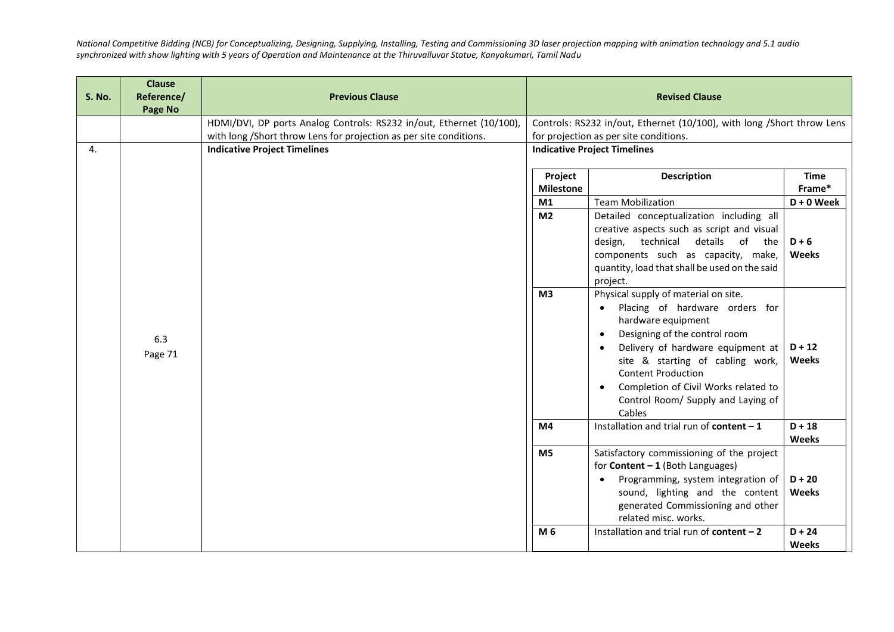| <b>S. No.</b> | <b>Clause</b><br>Reference/<br>Page No | <b>Previous Clause</b>                                               |                                                                        | <b>Revised Clause</b>                                                                                                                                                                                                                                                                                                                                              |                          |  |  |
|---------------|----------------------------------------|----------------------------------------------------------------------|------------------------------------------------------------------------|--------------------------------------------------------------------------------------------------------------------------------------------------------------------------------------------------------------------------------------------------------------------------------------------------------------------------------------------------------------------|--------------------------|--|--|
|               |                                        | HDMI/DVI, DP ports Analog Controls: RS232 in/out, Ethernet (10/100), | Controls: RS232 in/out, Ethernet (10/100), with long /Short throw Lens |                                                                                                                                                                                                                                                                                                                                                                    |                          |  |  |
|               |                                        | with long /Short throw Lens for projection as per site conditions.   | for projection as per site conditions.                                 |                                                                                                                                                                                                                                                                                                                                                                    |                          |  |  |
| 4.            |                                        | <b>Indicative Project Timelines</b>                                  |                                                                        | <b>Indicative Project Timelines</b>                                                                                                                                                                                                                                                                                                                                |                          |  |  |
|               |                                        |                                                                      | Project<br><b>Milestone</b>                                            | <b>Description</b>                                                                                                                                                                                                                                                                                                                                                 | <b>Time</b><br>Frame*    |  |  |
|               |                                        |                                                                      | M1                                                                     | <b>Team Mobilization</b>                                                                                                                                                                                                                                                                                                                                           | $D + 0$ Week             |  |  |
|               |                                        |                                                                      | $\overline{M2}$                                                        | Detailed conceptualization including all<br>creative aspects such as script and visual<br>technical<br>details<br>of<br>design,<br>the<br>components such as capacity, make,<br>quantity, load that shall be used on the said<br>project.                                                                                                                          | $D + 6$<br>Weeks         |  |  |
|               | 6.3<br>Page 71                         |                                                                      | M <sub>3</sub>                                                         | Physical supply of material on site.<br>Placing of hardware orders for<br>$\bullet$<br>hardware equipment<br>Designing of the control room<br>$\bullet$<br>Delivery of hardware equipment at<br>site & starting of cabling work,<br><b>Content Production</b><br>Completion of Civil Works related to<br>$\bullet$<br>Control Room/ Supply and Laying of<br>Cables | $D + 12$<br><b>Weeks</b> |  |  |
|               |                                        |                                                                      | M4                                                                     | Installation and trial run of content $-1$                                                                                                                                                                                                                                                                                                                         | $D + 18$<br>Weeks        |  |  |
|               |                                        |                                                                      | M <sub>5</sub>                                                         | Satisfactory commissioning of the project<br>for Content $-1$ (Both Languages)<br>Programming, system integration of<br>sound, lighting and the content<br>generated Commissioning and other<br>related misc. works.                                                                                                                                               | $D + 20$<br><b>Weeks</b> |  |  |
|               |                                        |                                                                      | M <sub>6</sub>                                                         | Installation and trial run of content $-2$                                                                                                                                                                                                                                                                                                                         | $D + 24$<br><b>Weeks</b> |  |  |